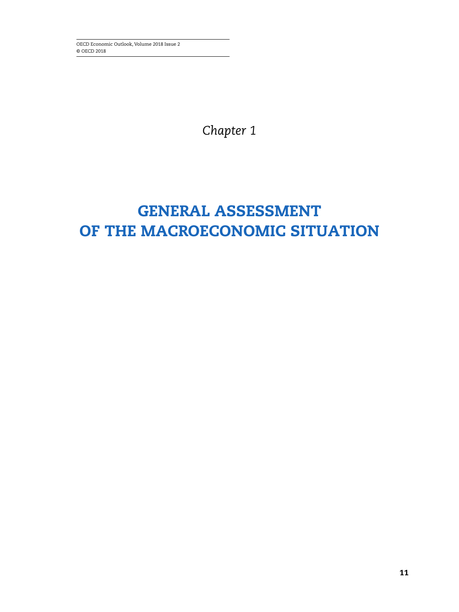OECD Economic Outlook, Volume 2018 Issue 2 © OECD 2018

*Chapter 1*

# **GENERAL ASSESSMENT OF THE MACROECONOMIC SITUATION**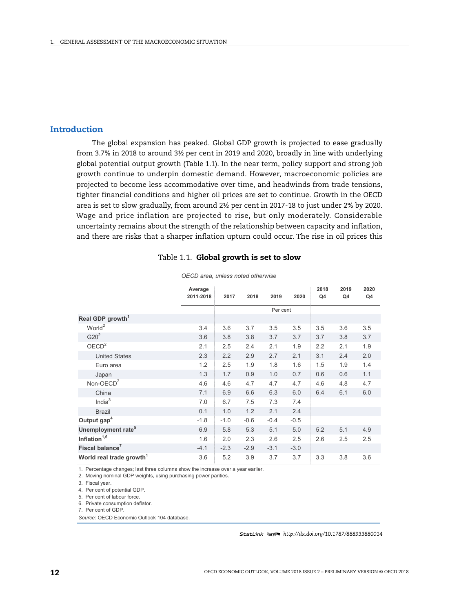# **Introduction**

The global expansion has peaked. Global GDP growth is projected to ease gradually from 3.7% in 2018 to around 3½ per cent in 2019 and 2020, broadly in line with underlying global potential output growth (Table 1.1). In the near term, policy support and strong job growth continue to underpin domestic demand. However, macroeconomic policies are projected to become less accommodative over time, and headwinds from trade tensions, tighter financial conditions and higher oil prices are set to continue. Growth in the OECD area is set to slow gradually, from around 2½ per cent in 2017-18 to just under 2% by 2020. Wage and price inflation are projected to rise, but only moderately. Considerable uncertainty remains about the strength of the relationship between capacity and inflation, and there are risks that a sharper inflation upturn could occur. The rise in oil prices this

#### Table 1.1. **Global growth is set to slow**

|                                      | Average<br>2011-2018 | 2017   | 2018   | 2019     | 2020   | 2018<br>Q4 | 2019<br>Q4 | 2020<br>Q4 |
|--------------------------------------|----------------------|--------|--------|----------|--------|------------|------------|------------|
|                                      |                      |        |        |          |        |            |            |            |
|                                      |                      |        |        | Per cent |        |            |            |            |
| Real GDP growth <sup>1</sup>         |                      |        |        |          |        |            |            |            |
| World <sup>2</sup>                   | 3.4                  | 3.6    | 3.7    | 3.5      | 3.5    | 3.5        | 3.6        | 3.5        |
| G20 <sup>2</sup>                     | 3.6                  | 3.8    | 3.8    | 3.7      | 3.7    | 3.7        | 3.8        | 3.7        |
| OECD <sup>2</sup>                    | 2.1                  | 2.5    | 2.4    | 2.1      | 1.9    | 2.2        | 2.1        | 1.9        |
| <b>United States</b>                 | 2.3                  | 2.2    | 2.9    | 2.7      | 2.1    | 3.1        | 2.4        | 2.0        |
| Euro area                            | 1.2                  | 2.5    | 1.9    | 1.8      | 1.6    | 1.5        | 1.9        | 1.4        |
| Japan                                | 1.3                  | 1.7    | 0.9    | 1.0      | 0.7    | 0.6        | 0.6        | 1.1        |
| Non-OEC $D^2$                        | 4.6                  | 4.6    | 4.7    | 4.7      | 4.7    | 4.6        | 4.8        | 4.7        |
| China                                | 7.1                  | 6.9    | 6.6    | 6.3      | 6.0    | 6.4        | 6.1        | 6.0        |
| India $3$                            | 7.0                  | 6.7    | 7.5    | 7.3      | 7.4    |            |            |            |
| <b>Brazil</b>                        | 0.1                  | 1.0    | 1.2    | 2.1      | 2.4    |            |            |            |
| Output gap <sup>4</sup>              | $-1.8$               | $-1.0$ | $-0.6$ | $-0.4$   | $-0.5$ |            |            |            |
| Unemployment rate <sup>5</sup>       | 6.9                  | 5.8    | 5.3    | 5.1      | 5.0    | 5.2        | 5.1        | 4.9        |
| Inflation <sup>1,6</sup>             | 1.6                  | 2.0    | 2.3    | 2.6      | 2.5    | 2.6        | 2.5        | 2.5        |
| Fiscal balance <sup>7</sup>          | $-4.1$               | $-2.3$ | $-2.9$ | $-3.1$   | $-3.0$ |            |            |            |
| World real trade growth <sup>1</sup> | 3.6                  | 5.2    | 3.9    | 3.7      | 3.7    | 3.3        | 3.8        | 3.6        |

*OECD area, unless noted otherwise*

1. Percentage changes; last three columns show the increase over a year earlier.

2. Moving nominal GDP weights, using purchasing power parities.

3. Fiscal year.

4. Per cent of potential GDP.

5. Per cent of labour force.

6. Private consumption deflator.

7. Per cent of GDP

Source: OECD Economic Outlook 104 database.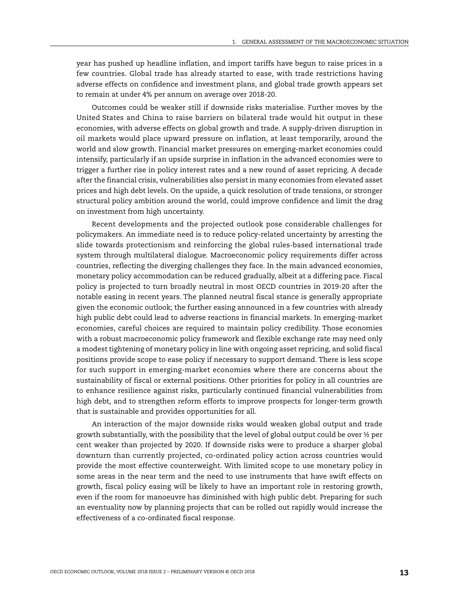year has pushed up headline inflation, and import tariffs have begun to raise prices in a few countries. Global trade has already started to ease, with trade restrictions having adverse effects on confidence and investment plans, and global trade growth appears set to remain at under 4% per annum on average over 2018-20.

Outcomes could be weaker still if downside risks materialise. Further moves by the United States and China to raise barriers on bilateral trade would hit output in these economies, with adverse effects on global growth and trade. A supply-driven disruption in oil markets would place upward pressure on inflation, at least temporarily, around the world and slow growth. Financial market pressures on emerging-market economies could intensify, particularly if an upside surprise in inflation in the advanced economies were to trigger a further rise in policy interest rates and a new round of asset repricing. A decade after the financial crisis, vulnerabilities also persist in many economies from elevated asset prices and high debt levels. On the upside, a quick resolution of trade tensions, or stronger structural policy ambition around the world, could improve confidence and limit the drag on investment from high uncertainty.

Recent developments and the projected outlook pose considerable challenges for policymakers. An immediate need is to reduce policy-related uncertainty by arresting the slide towards protectionism and reinforcing the global rules-based international trade system through multilateral dialogue. Macroeconomic policy requirements differ across countries, reflecting the diverging challenges they face. In the main advanced economies, monetary policy accommodation can be reduced gradually, albeit at a differing pace. Fiscal policy is projected to turn broadly neutral in most OECD countries in 2019-20 after the notable easing in recent years. The planned neutral fiscal stance is generally appropriate given the economic outlook; the further easing announced in a few countries with already high public debt could lead to adverse reactions in financial markets. In emerging-market economies, careful choices are required to maintain policy credibility. Those economies with a robust macroeconomic policy framework and flexible exchange rate may need only a modest tightening of monetary policy in line with ongoing asset repricing, and solid fiscal positions provide scope to ease policy if necessary to support demand. There is less scope for such support in emerging-market economies where there are concerns about the sustainability of fiscal or external positions. Other priorities for policy in all countries are to enhance resilience against risks, particularly continued financial vulnerabilities from high debt, and to strengthen reform efforts to improve prospects for longer-term growth that is sustainable and provides opportunities for all.

An interaction of the major downside risks would weaken global output and trade growth substantially, with the possibility that the level of global output could be over  $\frac{1}{2}$  per cent weaker than projected by 2020. If downside risks were to produce a sharper global downturn than currently projected, co-ordinated policy action across countries would provide the most effective counterweight. With limited scope to use monetary policy in some areas in the near term and the need to use instruments that have swift effects on growth, fiscal policy easing will be likely to have an important role in restoring growth, even if the room for manoeuvre has diminished with high public debt. Preparing for such an eventuality now by planning projects that can be rolled out rapidly would increase the effectiveness of a co-ordinated fiscal response.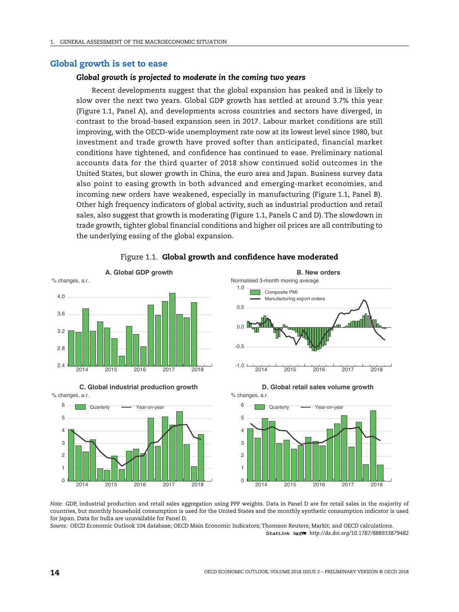2014 2015 2016 2017 2018

#### **Global growth is set to ease**

#### *Global growth is projected to moderate in the coming two years*

Recent developments suggest that the global expansion has peaked and is likely to slow over the next two years. Global GDP growth has settled at around 3.7% this year (Figure 1.1, Panel A), and developments across countries and sectors have diverged, in contrast to the broad-based expansion seen in 2017. Labour market conditions are still improving, with the OECD-wide unemployment rate now at its lowest level since 1980, but investment and trade growth have proved softer than anticipated, financial market conditions have tightened, and confidence has continued to ease. Preliminary national accounts data for the third quarter of 2018 show continued solid outcomes in the United States, but slower growth in China, the euro area and Japan. Business survey data also point to easing growth in both advanced and emerging-market economies, and incoming new orders have weakened, especially in manufacturing (Figure 1.1, Panel B). Other high frequency indicators of global activity, such as industrial production and retail sales, also suggest that growth is moderating (Figure 1.1, Panels C and D). The slowdown in trade growth, tighter global financial conditions and higher oil prices are all contributing to the underlying easing of the global expansion.



Figure 1.1. **Global growth and confidence have moderated**

*Note:* GDP, industrial production and retail sales aggregation using PPP weights. Data in Panel D are for retail sales in the majority of countries, but monthly household consumption is used for the United States and the monthly synthetic consumption indicator is used for Japan. Data for India are unavailable for Panel D.

 $\Omega$ 1

*Source:* OECD Economic Outlook 104 database; OECD Main Economic Indicators; Thomson Reuters; Markit; and OECD calculations. 1 2 *<http://dx.doi.org/10.1787/888933879482>*

2014 2015 2016 2017 2018

 $\Omega$ 1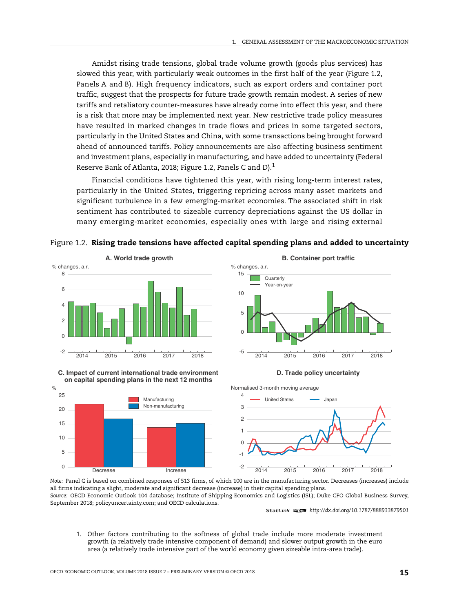Amidst rising trade tensions, global trade volume growth (goods plus services) has slowed this year, with particularly weak outcomes in the first half of the year (Figure 1.2, Panels A and B). High frequency indicators, such as export orders and container port traffic, suggest that the prospects for future trade growth remain modest. A series of new tariffs and retaliatory counter-measures have already come into effect this year, and there is a risk that more may be implemented next year. New restrictive trade policy measures have resulted in marked changes in trade flows and prices in some targeted sectors, particularly in the United States and China, with some transactions being brought forward ahead of announced tariffs. Policy announcements are also affecting business sentiment and investment plans, especially in manufacturing, and have added to uncertainty (Federal Reserve Bank of Atlanta, 2018; Figure 1.2, Panels C and D).<sup>1</sup>

Financial conditions have tightened this year, with rising long-term interest rates, particularly in the United States, triggering repricing across many asset markets and significant turbulence in a few emerging-market economies. The associated shift in risk sentiment has contributed to sizeable currency depreciations against the US dollar in many emerging-market economies, especially ones with large and rising external

Figure 1.2. **Rising trade tensions have affected capital spending plans and added to uncertainty**

5

10

15



**C. Impact of current international trade environment on capital spending plans in the next 12 months**



 % changes, a.r. **Quarterly** Year-on-year **B. Container port traffic**



**D. Trade policy uncertainty**

Normalised 3-month moving average



*Note:* Panel C is based on combined responses of 513 firms, of which 100 are in the manufacturing sector. Decreases (increases) include all firms indicating a slight, moderate and significant decrease (increase) in their capital spending plans. *Source:* OECD Economic Outlook 104 database; Institute of Shipping Economics and Logistics (ISL); Duke CFO Global Business Survey, September 2018; policyuncertainty.com; and OECD calculations.

1 2 *<http://dx.doi.org/10.1787/888933879501>*

1. Other factors contributing to the softness of global trade include more moderate investment growth (a relatively trade intensive component of demand) and slower output growth in the euro area (a relatively trade intensive part of the world economy given sizeable intra-area trade).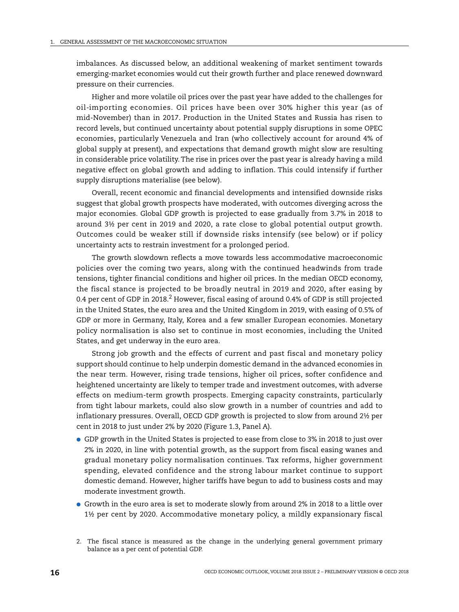imbalances. As discussed below, an additional weakening of market sentiment towards emerging-market economies would cut their growth further and place renewed downward pressure on their currencies.

Higher and more volatile oil prices over the past year have added to the challenges for oil-importing economies. Oil prices have been over 30% higher this year (as of mid-November) than in 2017. Production in the United States and Russia has risen to record levels, but continued uncertainty about potential supply disruptions in some OPEC economies, particularly Venezuela and Iran (who collectively account for around 4% of global supply at present), and expectations that demand growth might slow are resulting in considerable price volatility. The rise in prices over the past year is already having a mild negative effect on global growth and adding to inflation. This could intensify if further supply disruptions materialise (see below).

Overall, recent economic and financial developments and intensified downside risks suggest that global growth prospects have moderated, with outcomes diverging across the major economies. Global GDP growth is projected to ease gradually from 3.7% in 2018 to around 3½ per cent in 2019 and 2020, a rate close to global potential output growth. Outcomes could be weaker still if downside risks intensify (see below) or if policy uncertainty acts to restrain investment for a prolonged period.

The growth slowdown reflects a move towards less accommodative macroeconomic policies over the coming two years, along with the continued headwinds from trade tensions, tighter financial conditions and higher oil prices. In the median OECD economy, the fiscal stance is projected to be broadly neutral in 2019 and 2020, after easing by 0.4 per cent of GDP in 2018.<sup>2</sup> However, fiscal easing of around 0.4% of GDP is still projected in the United States, the euro area and the United Kingdom in 2019, with easing of 0.5% of GDP or more in Germany, Italy, Korea and a few smaller European economies. Monetary policy normalisation is also set to continue in most economies, including the United States, and get underway in the euro area.

Strong job growth and the effects of current and past fiscal and monetary policy support should continue to help underpin domestic demand in the advanced economies in the near term. However, rising trade tensions, higher oil prices, softer confidence and heightened uncertainty are likely to temper trade and investment outcomes, with adverse effects on medium-term growth prospects. Emerging capacity constraints, particularly from tight labour markets, could also slow growth in a number of countries and add to inflationary pressures. Overall, OECD GDP growth is projected to slow from around 2½ per cent in 2018 to just under 2% by 2020 (Figure 1.3, Panel A).

- GDP growth in the United States is projected to ease from close to 3% in 2018 to just over 2% in 2020, in line with potential growth, as the support from fiscal easing wanes and gradual monetary policy normalisation continues. Tax reforms, higher government spending, elevated confidence and the strong labour market continue to support domestic demand. However, higher tariffs have begun to add to business costs and may moderate investment growth.
- Growth in the euro area is set to moderate slowly from around 2% in 2018 to a little over 1½ per cent by 2020. Accommodative monetary policy, a mildly expansionary fiscal

<sup>2.</sup> The fiscal stance is measured as the change in the underlying general government primary balance as a per cent of potential GDP.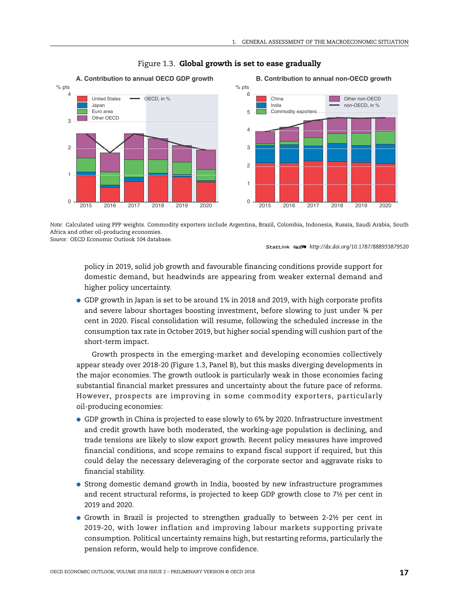

# Figure 1.3. **Global growth is set to ease gradually**

*Note:* Calculated using PPP weights. Commodity exporters include Argentina, Brazil, Colombia, Indonesia, Russia, Saudi Arabia, South Africa and other oil-producing economies. *Source:* OECD Economic Outlook 104 database.

1 2 *<http://dx.doi.org/10.1787/888933879520>*

policy in 2019, solid job growth and favourable financing conditions provide support for domestic demand, but headwinds are appearing from weaker external demand and higher policy uncertainty.

● GDP growth in Japan is set to be around 1% in 2018 and 2019, with high corporate profits and severe labour shortages boosting investment, before slowing to just under ¾ per cent in 2020. Fiscal consolidation will resume, following the scheduled increase in the consumption tax rate in October 2019, but higher social spending will cushion part of the short-term impact.

Growth prospects in the emerging-market and developing economies collectively appear steady over 2018-20 (Figure 1.3, Panel B), but this masks diverging developments in the major economies. The growth outlook is particularly weak in those economies facing substantial financial market pressures and uncertainty about the future pace of reforms. However, prospects are improving in some commodity exporters, particularly oil-producing economies:

- GDP growth in China is projected to ease slowly to 6% by 2020. Infrastructure investment and credit growth have both moderated, the working-age population is declining, and trade tensions are likely to slow export growth. Recent policy measures have improved financial conditions, and scope remains to expand fiscal support if required, but this could delay the necessary deleveraging of the corporate sector and aggravate risks to financial stability.
- Strong domestic demand growth in India, boosted by new infrastructure programmes and recent structural reforms, is projected to keep GDP growth close to 7½ per cent in 2019 and 2020.
- Growth in Brazil is projected to strengthen gradually to between 2-2½ per cent in 2019-20, with lower inflation and improving labour markets supporting private consumption. Political uncertainty remains high, but restarting reforms, particularly the pension reform, would help to improve confidence.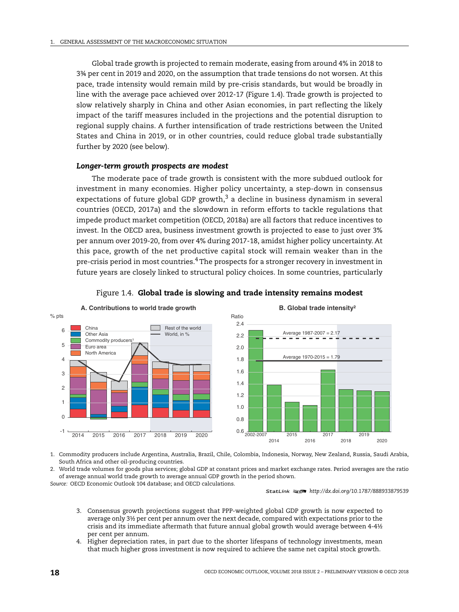Global trade growth is projected to remain moderate, easing from around 4% in 2018 to 3¾ per cent in 2019 and 2020, on the assumption that trade tensions do not worsen. At this pace, trade intensity would remain mild by pre-crisis standards, but would be broadly in line with the average pace achieved over 2012-17 (Figure 1.4). Trade growth is projected to slow relatively sharply in China and other Asian economies, in part reflecting the likely impact of the tariff measures included in the projections and the potential disruption to regional supply chains. A further intensification of trade restrictions between the United States and China in 2019, or in other countries, could reduce global trade substantially further by 2020 (see below).

#### *Longer-term growth prospects are modest*

The moderate pace of trade growth is consistent with the more subdued outlook for investment in many economies. Higher policy uncertainty, a step-down in consensus expectations of future global GDP growth, $3$  a decline in business dynamism in several countries (OECD, 2017a) and the slowdown in reform efforts to tackle regulations that impede product market competition (OECD, 2018a) are all factors that reduce incentives to invest. In the OECD area, business investment growth is projected to ease to just over 3% per annum over 2019-20, from over 4% during 2017-18, amidst higher policy uncertainty. At this pace, growth of the net productive capital stock will remain weaker than in the pre-crisis period in most countries.<sup>4</sup> The prospects for a stronger recovery in investment in future years are closely linked to structural policy choices. In some countries, particularly





1. Commodity producers include Argentina, Australia, Brazil, Chile, Colombia, Indonesia, Norway, New Zealand, Russia, Saudi Arabia, South Africa and other oil-producing countries.

2. World trade volumes for goods plus services; global GDP at constant prices and market exchange rates. Period averages are the ratio of average annual world trade growth to average annual GDP growth in the period shown.

*Source:* OECD Economic Outlook 104 database; and OECD calculations.

- 3. Consensus growth projections suggest that PPP-weighted global GDP growth is now expected to average only 3½ per cent per annum over the next decade, compared with expectations prior to the crisis and its immediate aftermath that future annual global growth would average between 4-4½ per cent per annum.
- 4. Higher depreciation rates, in part due to the shorter lifespans of technology investments, mean that much higher gross investment is now required to achieve the same net capital stock growth.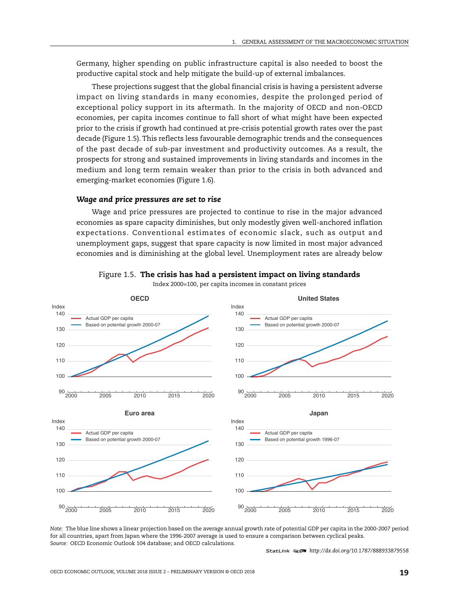Germany, higher spending on public infrastructure capital is also needed to boost the productive capital stock and help mitigate the build-up of external imbalances.

These projections suggest that the global financial crisis is having a persistent adverse impact on living standards in many economies, despite the prolonged period of exceptional policy support in its aftermath. In the majority of OECD and non-OECD economies, per capita incomes continue to fall short of what might have been expected prior to the crisis if growth had continued at pre-crisis potential growth rates over the past decade (Figure 1.5). This reflects less favourable demographic trends and the consequences of the past decade of sub-par investment and productivity outcomes. As a result, the prospects for strong and sustained improvements in living standards and incomes in the medium and long term remain weaker than prior to the crisis in both advanced and emerging-market economies (Figure 1.6).

#### *Wage and price pressures are set to rise*

Wage and price pressures are projected to continue to rise in the major advanced economies as spare capacity diminishes, but only modestly given well-anchored inflation expectations. Conventional estimates of economic slack, such as output and unemployment gaps, suggest that spare capacity is now limited in most major advanced economies and is diminishing at the global level. Unemployment rates are already below



Figure 1.5. **The crisis has had a persistent impact on living standards** Index 2000=100, per capita incomes in constant prices

*Note:* The blue line shows a linear projection based on the average annual growth rate of potential GDP per capita in the 2000-2007 period for all countries, apart from Japan where the 1996-2007 average is used to ensure a comparison between cyclical peaks. *Source:* OECD Economic Outlook 104 database; and OECD calculations.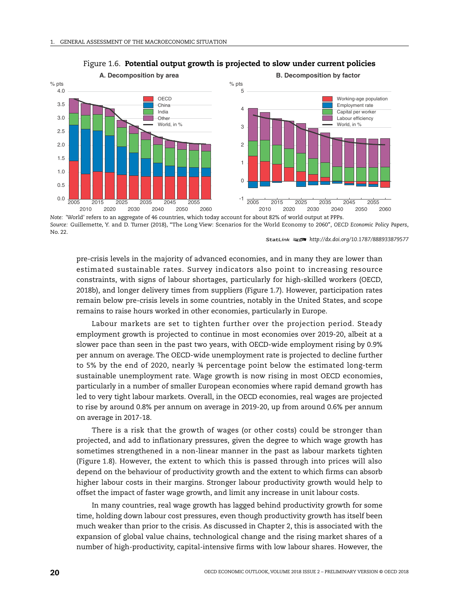

#### Figure 1.6. **Potential output growth is projected to slow under current policies**

*Note:* 'World' refers to an aggregate of 46 countries, which today account for about 82% of world output at PPPs. *Source:* Guillemette, Y. and D. Turner (2018), "The Long View: Scenarios for the World Economy to 2060", *OECD Economic Policy Papers*, No. 22.

1 2 *<http://dx.doi.org/10.1787/888933879577>*

pre-crisis levels in the majority of advanced economies, and in many they are lower than estimated sustainable rates. Survey indicators also point to increasing resource constraints, with signs of labour shortages, particularly for high-skilled workers (OECD, 2018b), and longer delivery times from suppliers (Figure 1.7). However, participation rates remain below pre-crisis levels in some countries, notably in the United States, and scope remains to raise hours worked in other economies, particularly in Europe.

Labour markets are set to tighten further over the projection period. Steady employment growth is projected to continue in most economies over 2019-20, albeit at a slower pace than seen in the past two years, with OECD-wide employment rising by 0.9% per annum on average. The OECD-wide unemployment rate is projected to decline further to 5% by the end of 2020, nearly ¾ percentage point below the estimated long-term sustainable unemployment rate. Wage growth is now rising in most OECD economies, particularly in a number of smaller European economies where rapid demand growth has led to very tight labour markets. Overall, in the OECD economies, real wages are projected to rise by around 0.8% per annum on average in 2019-20, up from around 0.6% per annum on average in 2017-18.

There is a risk that the growth of wages (or other costs) could be stronger than projected, and add to inflationary pressures, given the degree to which wage growth has sometimes strengthened in a non-linear manner in the past as labour markets tighten (Figure 1.8). However, the extent to which this is passed through into prices will also depend on the behaviour of productivity growth and the extent to which firms can absorb higher labour costs in their margins. Stronger labour productivity growth would help to offset the impact of faster wage growth, and limit any increase in unit labour costs.

In many countries, real wage growth has lagged behind productivity growth for some time, holding down labour cost pressures, even though productivity growth has itself been much weaker than prior to the crisis. As discussed in Chapter 2, this is associated with the expansion of global value chains, technological change and the rising market shares of a number of high-productivity, capital-intensive firms with low labour shares. However, the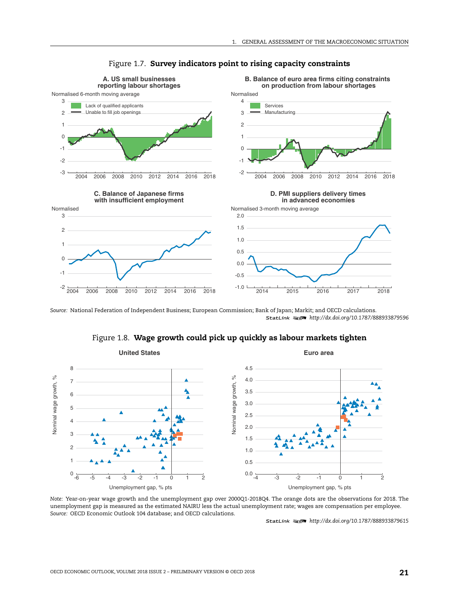

#### Figure 1.7. **Survey indicators point to rising capacity constraints**

*Source:* National Federation of Independent Business; European Commission; Bank of Japan; Markit; and OECD calculations. 1 2 *<http://dx.doi.org/10.1787/888933879596>*

#### Figure 1.8. **Wage growth could pick up quickly as labour markets tighten**



*Note:* Year-on-year wage growth and the unemployment gap over 2000Q1-2018Q4. The orange dots are the observations for 2018. The unemployment gap is measured as the estimated NAIRU less the actual unemployment rate; wages are compensation per employee. *Source:* OECD Economic Outlook 104 database; and OECD calculations.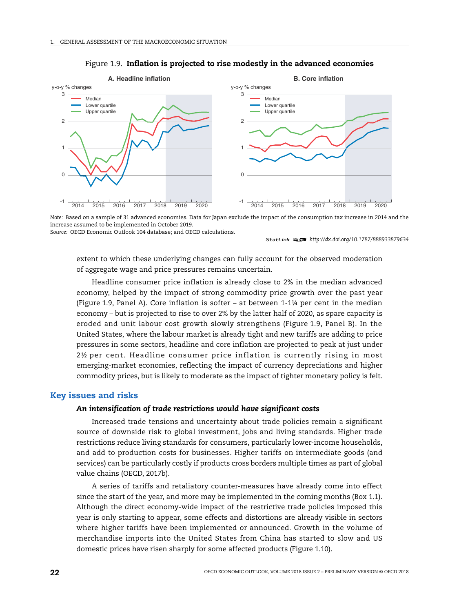

#### Figure 1.9. **Inflation is projected to rise modestly in the advanced economies**

*Note:* Based on a sample of 31 advanced economies. Data for Japan exclude the impact of the consumption tax increase in 2014 and the increase assumed to be implemented in October 2019.

*Source:* OECD Economic Outlook 104 database; and OECD calculations.

1 2 *<http://dx.doi.org/10.1787/888933879634>*

extent to which these underlying changes can fully account for the observed moderation of aggregate wage and price pressures remains uncertain.

Headline consumer price inflation is already close to 2% in the median advanced economy, helped by the impact of strong commodity price growth over the past year (Figure 1.9, Panel A). Core inflation is softer – at between 1-1¼ per cent in the median economy – but is projected to rise to over 2% by the latter half of 2020, as spare capacity is eroded and unit labour cost growth slowly strengthens (Figure 1.9, Panel B). In the United States, where the labour market is already tight and new tariffs are adding to price pressures in some sectors, headline and core inflation are projected to peak at just under 2½ per cent. Headline consumer price inflation is currently rising in most emerging-market economies, reflecting the impact of currency depreciations and higher commodity prices, but is likely to moderate as the impact of tighter monetary policy is felt.

# **Key issues and risks**

#### *An intensification of trade restrictions would have significant costs*

Increased trade tensions and uncertainty about trade policies remain a significant source of downside risk to global investment, jobs and living standards. Higher trade restrictions reduce living standards for consumers, particularly lower-income households, and add to production costs for businesses. Higher tariffs on intermediate goods (and services) can be particularly costly if products cross borders multiple times as part of global value chains (OECD, 2017b).

A series of tariffs and retaliatory counter-measures have already come into effect since the start of the year, and more may be implemented in the coming months (Box 1.1). Although the direct economy-wide impact of the restrictive trade policies imposed this year is only starting to appear, some effects and distortions are already visible in sectors where higher tariffs have been implemented or announced. Growth in the volume of merchandise imports into the United States from China has started to slow and US domestic prices have risen sharply for some affected products (Figure 1.10).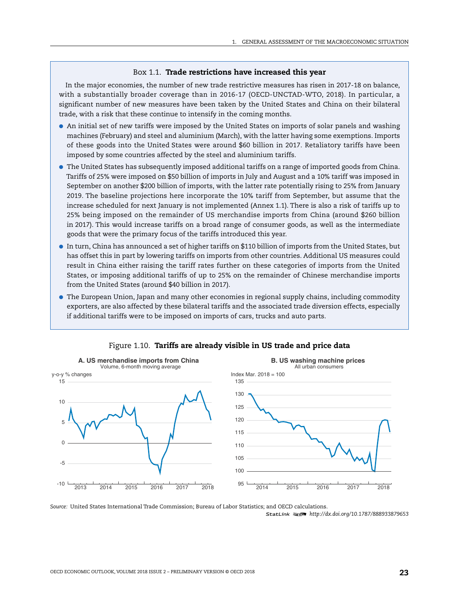#### Box 1.1. **Trade restrictions have increased this year**

In the major economies, the number of new trade restrictive measures has risen in 2017-18 on balance, with a substantially broader coverage than in 2016-17 (OECD-UNCTAD-WTO, 2018). In particular, a significant number of new measures have been taken by the United States and China on their bilateral trade, with a risk that these continue to intensify in the coming months.

- An initial set of new tariffs were imposed by the United States on imports of solar panels and washing machines (February) and steel and aluminium (March), with the latter having some exemptions. Imports of these goods into the United States were around \$60 billion in 2017. Retaliatory tariffs have been imposed by some countries affected by the steel and aluminium tariffs.
- The United States has subsequently imposed additional tariffs on a range of imported goods from China. Tariffs of 25% were imposed on \$50 billion of imports in July and August and a 10% tariff was imposed in September on another \$200 billion of imports, with the latter rate potentially rising to 25% from January 2019. The baseline projections here incorporate the 10% tariff from September, but assume that the increase scheduled for next January is not implemented (Annex 1.1). There is also a risk of tariffs up to 25% being imposed on the remainder of US merchandise imports from China (around \$260 billion in 2017). This would increase tariffs on a broad range of consumer goods, as well as the intermediate goods that were the primary focus of the tariffs introduced this year.
- In turn, China has announced a set of higher tariffs on \$110 billion of imports from the United States, but has offset this in part by lowering tariffs on imports from other countries. Additional US measures could result in China either raising the tariff rates further on these categories of imports from the United States, or imposing additional tariffs of up to 25% on the remainder of Chinese merchandise imports from the United States (around \$40 billion in 2017).
- The European Union, Japan and many other economies in regional supply chains, including commodity exporters, are also affected by these bilateral tariffs and the associated trade diversion effects, especially if additional tariffs were to be imposed on imports of cars, trucks and auto parts.



# Figure 1.10. **Tariffs are already visible in US trade and price data**

*Source:* United States International Trade Commission; Bureau of Labor Statistics; and OECD calculations. 1 2 *<http://dx.doi.org/10.1787/888933879653>*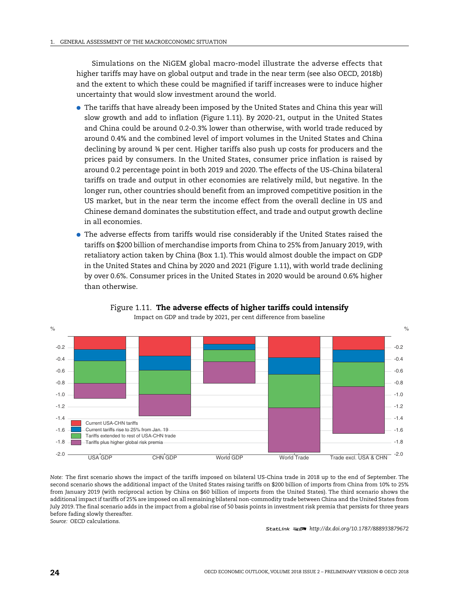Simulations on the NiGEM global macro-model illustrate the adverse effects that higher tariffs may have on global output and trade in the near term (see also OECD, 2018b) and the extent to which these could be magnified if tariff increases were to induce higher uncertainty that would slow investment around the world.

- The tariffs that have already been imposed by the United States and China this year will slow growth and add to inflation (Figure 1.11). By 2020-21, output in the United States and China could be around 0.2-0.3% lower than otherwise, with world trade reduced by around 0.4% and the combined level of import volumes in the United States and China declining by around ¾ per cent. Higher tariffs also push up costs for producers and the prices paid by consumers. In the United States, consumer price inflation is raised by around 0.2 percentage point in both 2019 and 2020. The effects of the US-China bilateral tariffs on trade and output in other economies are relatively mild, but negative. In the longer run, other countries should benefit from an improved competitive position in the US market, but in the near term the income effect from the overall decline in US and Chinese demand dominates the substitution effect, and trade and output growth decline in all economies.
- The adverse effects from tariffs would rise considerably if the United States raised the tariffs on \$200 billion of merchandise imports from China to 25% from January 2019, with retaliatory action taken by China (Box 1.1). This would almost double the impact on GDP in the United States and China by 2020 and 2021 (Figure 1.11), with world trade declining by over 0.6%. Consumer prices in the United States in 2020 would be around 0.6% higher than otherwise.



#### Figure 1.11. **The adverse effects of higher tariffs could intensify** Impact on GDP and trade by 2021, per cent difference from baseline

*Note:* The first scenario shows the impact of the tariffs imposed on bilateral US-China trade in 2018 up to the end of September. The second scenario shows the additional impact of the United States raising tariffs on \$200 billion of imports from China from 10% to 25% from January 2019 (with reciprocal action by China on \$60 billion of imports from the United States). The third scenario shows the additional impact if tariffs of 25% are imposed on all remaining bilateral non-commodity trade between China and the United States from July 2019. The final scenario adds in the impact from a global rise of 50 basis points in investment risk premia that persists for three years before fading slowly thereafter.

*Source:* OECD calculations.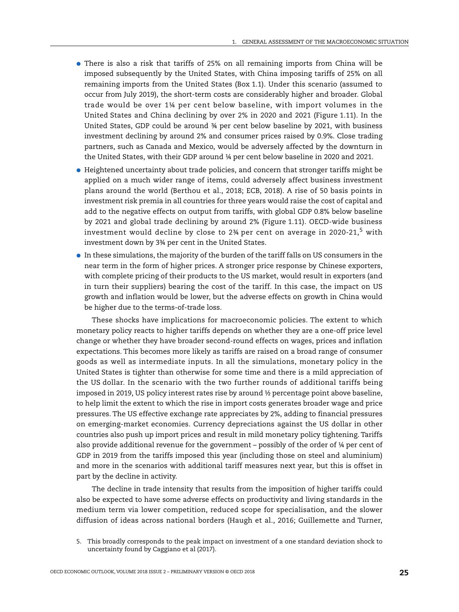- There is also a risk that tariffs of 25% on all remaining imports from China will be imposed subsequently by the United States, with China imposing tariffs of 25% on all remaining imports from the United States (Box 1.1). Under this scenario (assumed to occur from July 2019), the short-term costs are considerably higher and broader. Global trade would be over 1¼ per cent below baseline, with import volumes in the United States and China declining by over 2% in 2020 and 2021 (Figure 1.11). In the United States, GDP could be around ¾ per cent below baseline by 2021, with business investment declining by around 2% and consumer prices raised by 0.9%. Close trading partners, such as Canada and Mexico, would be adversely affected by the downturn in the United States, with their GDP around ¼ per cent below baseline in 2020 and 2021.
- Heightened uncertainty about trade policies, and concern that stronger tariffs might be applied on a much wider range of items, could adversely affect business investment plans around the world (Berthou et al., 2018; ECB, 2018). A rise of 50 basis points in investment risk premia in all countries for three years would raise the cost of capital and add to the negative effects on output from tariffs, with global GDP 0.8% below baseline by 2021 and global trade declining by around 2% (Figure 1.11). OECD-wide business investment would decline by close to  $2\frac{3}{4}$  per cent on average in 2020-21.<sup>5</sup> with investment down by 3¾ per cent in the United States.
- $\bullet$  In these simulations, the majority of the burden of the tariff falls on US consumers in the near term in the form of higher prices. A stronger price response by Chinese exporters, with complete pricing of their products to the US market, would result in exporters (and in turn their suppliers) bearing the cost of the tariff. In this case, the impact on US growth and inflation would be lower, but the adverse effects on growth in China would be higher due to the terms-of-trade loss.

These shocks have implications for macroeconomic policies. The extent to which monetary policy reacts to higher tariffs depends on whether they are a one-off price level change or whether they have broader second-round effects on wages, prices and inflation expectations. This becomes more likely as tariffs are raised on a broad range of consumer goods as well as intermediate inputs. In all the simulations, monetary policy in the United States is tighter than otherwise for some time and there is a mild appreciation of the US dollar. In the scenario with the two further rounds of additional tariffs being imposed in 2019, US policy interest rates rise by around ½ percentage point above baseline, to help limit the extent to which the rise in import costs generates broader wage and price pressures. The US effective exchange rate appreciates by 2%, adding to financial pressures on emerging-market economies. Currency depreciations against the US dollar in other countries also push up import prices and result in mild monetary policy tightening. Tariffs also provide additional revenue for the government – possibly of the order of ¼ per cent of GDP in 2019 from the tariffs imposed this year (including those on steel and aluminium) and more in the scenarios with additional tariff measures next year, but this is offset in part by the decline in activity.

The decline in trade intensity that results from the imposition of higher tariffs could also be expected to have some adverse effects on productivity and living standards in the medium term via lower competition, reduced scope for specialisation, and the slower diffusion of ideas across national borders (Haugh et al., 2016; Guillemette and Turner,

<sup>5.</sup> This broadly corresponds to the peak impact on investment of a one standard deviation shock to uncertainty found by Caggiano et al (2017).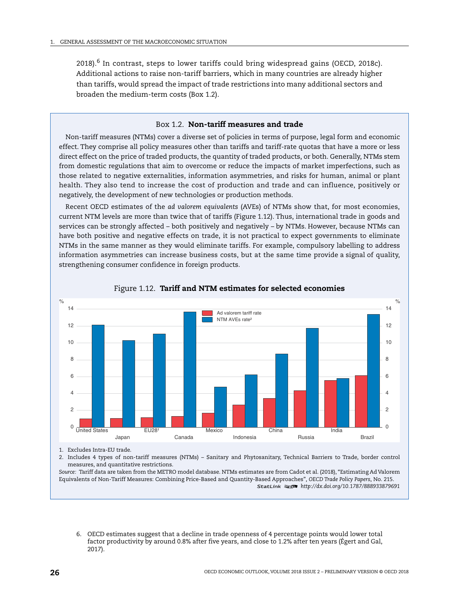$2018$ <sup>6</sup> In contrast, steps to lower tariffs could bring widespread gains (OECD, 2018c). Additional actions to raise non-tariff barriers, which in many countries are already higher than tariffs, would spread the impact of trade restrictions into many additional sectors and broaden the medium-term costs (Box 1.2).

#### Box 1.2. **Non-tariff measures and trade**

Non-tariff measures (NTMs) cover a diverse set of policies in terms of purpose, legal form and economic effect. They comprise all policy measures other than tariffs and tariff-rate quotas that have a more or less direct effect on the price of traded products, the quantity of traded products, or both. Generally, NTMs stem from domestic regulations that aim to overcome or reduce the impacts of market imperfections, such as those related to negative externalities, information asymmetries, and risks for human, animal or plant health. They also tend to increase the cost of production and trade and can influence, positively or negatively, the development of new technologies or production methods.

Recent OECD estimates of the *ad valorem equivalents* (AVEs) of NTMs show that, for most economies, current NTM levels are more than twice that of tariffs (Figure 1.12). Thus, international trade in goods and services can be strongly affected – both positively and negatively – by NTMs. However, because NTMs can have both positive and negative effects on trade, it is not practical to expect governments to eliminate NTMs in the same manner as they would eliminate tariffs. For example, compulsory labelling to address information asymmetries can increase business costs, but at the same time provide a signal of quality, strengthening consumer confidence in foreign products.



#### Figure 1.12. **Tariff and NTM estimates for selected economies**

1. Excludes Intra-EU trade.

2. Includes 4 types of non-tariff measures (NTMs) – Sanitary and Phytosanitary, Technical Barriers to Trade, border control measures, and quantitative restrictions.

*Source:* Tariff data are taken from the METRO model database. NTMs estimates are from Cadot et al. (2018), "Estimating Ad Valorem Equivalents of Non-Tariff Measures: Combining Price-Based and Quantity-Based Approaches", *OECD Trade Policy Papers*, No. 215. 1 2 *<http://dx.doi.org/10.1787/888933879691>*

6. OECD estimates suggest that a decline in trade openness of 4 percentage points would lower total factor productivity by around 0.8% after five years, and close to 1.2% after ten years (Égert and Gal, 2017).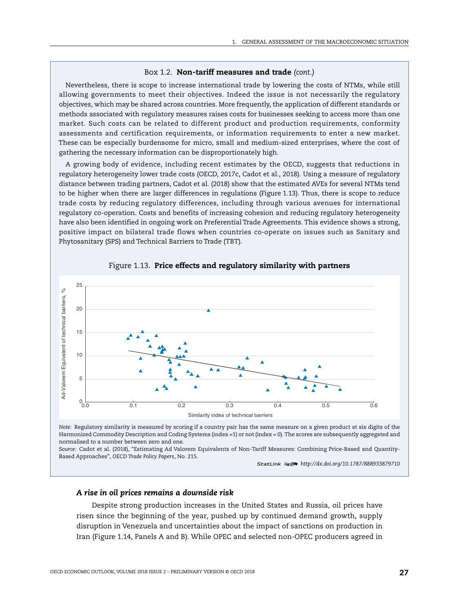#### Box 1.2. **Non-tariff measures and trade** *(cont.)*

Nevertheless, there is scope to increase international trade by lowering the costs of NTMs, while still allowing governments to meet their objectives. Indeed the issue is not necessarily the regulatory objectives, which may be shared across countries. More frequently, the application of different standards or methods associated with regulatory measures raises costs for businesses seeking to access more than one market. Such costs can be related to different product and production requirements, conformity assessments and certification requirements, or information requirements to enter a new market. These can be especially burdensome for micro, small and medium-sized enterprises, where the cost of gathering the necessary information can be disproportionately high.

A growing body of evidence, including recent estimates by the OECD, suggests that reductions in regulatory heterogeneity lower trade costs (OECD, 2017c, Cadot et al., 2018). Using a measure of regulatory distance between trading partners, Cadot et al. (2018) show that the estimated AVEs for several NTMs tend to be higher when there are larger differences in regulations (Figure 1.13). Thus, there is scope to reduce trade costs by reducing regulatory differences, including through various avenues for international regulatory co-operation. Costs and benefits of increasing cohesion and reducing regulatory heterogeneity have also been identified in ongoing work on Preferential Trade Agreements. This evidence shows a strong, positive impact on bilateral trade flows when countries co-operate on issues such as Sanitary and Phytosanitary (SPS) and Technical Barriers to Trade (TBT).



Figure 1.13. **Price effects and regulatory similarity with partners**

*Note:* Regulatory similarity is measured by scoring if a country pair has the same measure on a given product at six digits of the Harmonized Commodity Description and Coding Systems (index =1) or not (index = 0). The scores are subsequently aggregated and normalised to a number between zero and one.

*Source:* Cadot et al. (2018), "Estimating Ad Valorem Equivalents of Non-Tariff Measures: Combining Price-Based and Quantity-Based Approaches", *OECD Trade Policy Papers*, No. 215.

1 2 *<http://dx.doi.org/10.1787/888933879710>*

#### *A rise in oil prices remains a downside risk*

Despite strong production increases in the United States and Russia, oil prices have risen since the beginning of the year, pushed up by continued demand growth, supply disruption in Venezuela and uncertainties about the impact of sanctions on production in Iran (Figure 1.14, Panels A and B). While OPEC and selected non-OPEC producers agreed in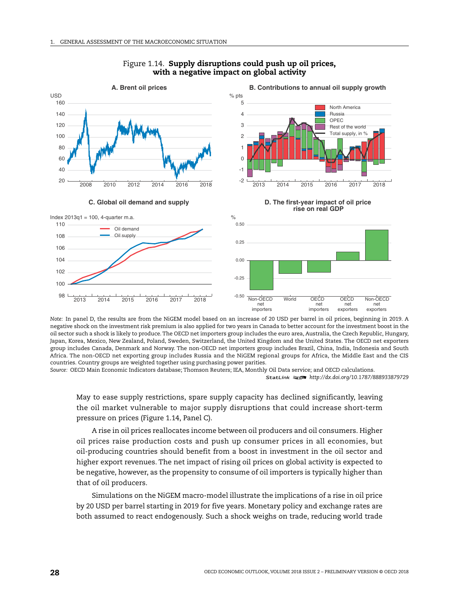

### Figure 1.14. **Supply disruptions could push up oil prices, with a negative impact on global activity**

*Note:* In panel D, the results are from the NiGEM model based on an increase of 20 USD per barrel in oil prices, beginning in 2019. A negative shock on the investment risk premium is also applied for two years in Canada to better account for the investment boost in the oil sector such a shock is likely to produce. The OECD net importers group includes the euro area, Australia, the Czech Republic, Hungary, Japan, Korea, Mexico, New Zealand, Poland, Sweden, Switzerland, the United Kingdom and the United States. The OECD net exporters group includes Canada, Denmark and Norway. The non-OECD net importers group includes Brazil, China, India, Indonesia and South Africa. The non-OECD net exporting group includes Russia and the NiGEM regional groups for Africa, the Middle East and the CIS countries. Country groups are weighted together using purchasing power parities.

*Source:* OECD Main Economic Indicators database; Thomson Reuters; IEA, Monthly Oil Data service; and OECD calculations. 1 2 *<http://dx.doi.org/10.1787/888933879729>*

May to ease supply restrictions, spare supply capacity has declined significantly, leaving the oil market vulnerable to major supply disruptions that could increase short-term pressure on prices (Figure 1.14, Panel C).

A rise in oil prices reallocates income between oil producers and oil consumers. Higher oil prices raise production costs and push up consumer prices in all economies, but oil-producing countries should benefit from a boost in investment in the oil sector and higher export revenues. The net impact of rising oil prices on global activity is expected to be negative, however, as the propensity to consume of oil importers is typically higher than that of oil producers.

Simulations on the NiGEM macro-model illustrate the implications of a rise in oil price by 20 USD per barrel starting in 2019 for five years. Monetary policy and exchange rates are both assumed to react endogenously. Such a shock weighs on trade, reducing world trade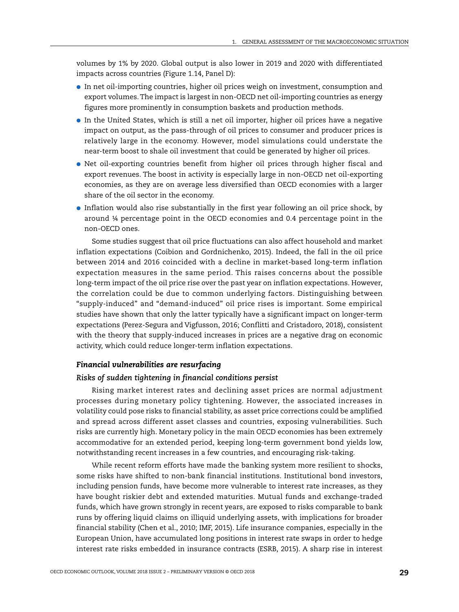volumes by 1% by 2020. Global output is also lower in 2019 and 2020 with differentiated impacts across countries (Figure 1.14, Panel D):

- In net oil-importing countries, higher oil prices weigh on investment, consumption and export volumes. The impact is largest in non-OECD net oil-importing countries as energy figures more prominently in consumption baskets and production methods.
- In the United States, which is still a net oil importer, higher oil prices have a negative impact on output, as the pass-through of oil prices to consumer and producer prices is relatively large in the economy. However, model simulations could understate the near-term boost to shale oil investment that could be generated by higher oil prices.
- Net oil-exporting countries benefit from higher oil prices through higher fiscal and export revenues. The boost in activity is especially large in non-OECD net oil-exporting economies, as they are on average less diversified than OECD economies with a larger share of the oil sector in the economy.
- Inflation would also rise substantially in the first year following an oil price shock, by around ¼ percentage point in the OECD economies and 0.4 percentage point in the non-OECD ones.

Some studies suggest that oil price fluctuations can also affect household and market inflation expectations (Coibion and Gordnichenko, 2015). Indeed, the fall in the oil price between 2014 and 2016 coincided with a decline in market-based long-term inflation expectation measures in the same period. This raises concerns about the possible long-term impact of the oil price rise over the past year on inflation expectations. However, the correlation could be due to common underlying factors. Distinguishing between "supply-induced" and "demand-induced" oil price rises is important. Some empirical studies have shown that only the latter typically have a significant impact on longer-term expectations (Perez-Segura and Vigfusson, 2016; Conflitti and Cristadoro, 2018), consistent with the theory that supply-induced increases in prices are a negative drag on economic activity, which could reduce longer-term inflation expectations.

# *Financial vulnerabilities are resurfacing*

#### *Risks of sudden tightening in financial conditions persist*

Rising market interest rates and declining asset prices are normal adjustment processes during monetary policy tightening. However, the associated increases in volatility could pose risks to financial stability, as asset price corrections could be amplified and spread across different asset classes and countries, exposing vulnerabilities. Such risks are currently high. Monetary policy in the main OECD economies has been extremely accommodative for an extended period, keeping long-term government bond yields low, notwithstanding recent increases in a few countries, and encouraging risk-taking.

While recent reform efforts have made the banking system more resilient to shocks, some risks have shifted to non-bank financial institutions. Institutional bond investors, including pension funds, have become more vulnerable to interest rate increases, as they have bought riskier debt and extended maturities. Mutual funds and exchange-traded funds, which have grown strongly in recent years, are exposed to risks comparable to bank runs by offering liquid claims on illiquid underlying assets, with implications for broader financial stability (Chen et al., 2010; IMF, 2015). Life insurance companies, especially in the European Union, have accumulated long positions in interest rate swaps in order to hedge interest rate risks embedded in insurance contracts (ESRB, 2015). A sharp rise in interest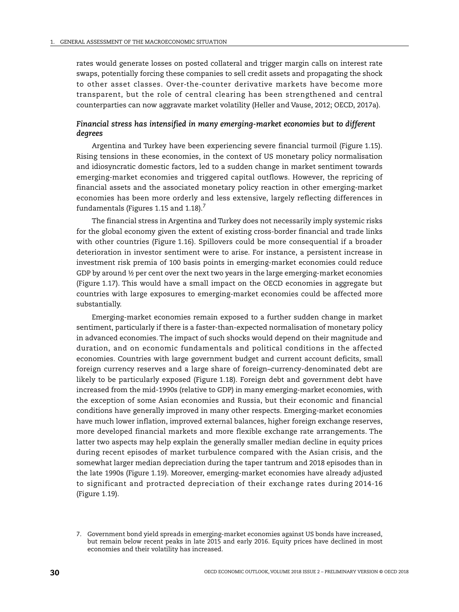rates would generate losses on posted collateral and trigger margin calls on interest rate swaps, potentially forcing these companies to sell credit assets and propagating the shock to other asset classes. Over-the-counter derivative markets have become more transparent, but the role of central clearing has been strengthened and central counterparties can now aggravate market volatility (Heller and Vause, 2012; OECD, 2017a).

# *Financial stress has intensified in many emerging-market economies but to different degrees*

Argentina and Turkey have been experiencing severe financial turmoil (Figure 1.15). Rising tensions in these economies, in the context of US monetary policy normalisation and idiosyncratic domestic factors, led to a sudden change in market sentiment towards emerging-market economies and triggered capital outflows. However, the repricing of financial assets and the associated monetary policy reaction in other emerging-market economies has been more orderly and less extensive, largely reflecting differences in fundamentals (Figures 1.15 and 1.18).<sup>7</sup>

The financial stress in Argentina and Turkey does not necessarily imply systemic risks for the global economy given the extent of existing cross-border financial and trade links with other countries (Figure 1.16). Spillovers could be more consequential if a broader deterioration in investor sentiment were to arise. For instance, a persistent increase in investment risk premia of 100 basis points in emerging-market economies could reduce GDP by around  $\frac{1}{2}$  per cent over the next two years in the large emerging-market economies (Figure 1.17). This would have a small impact on the OECD economies in aggregate but countries with large exposures to emerging-market economies could be affected more substantially.

Emerging-market economies remain exposed to a further sudden change in market sentiment, particularly if there is a faster-than-expected normalisation of monetary policy in advanced economies. The impact of such shocks would depend on their magnitude and duration, and on economic fundamentals and political conditions in the affected economies. Countries with large government budget and current account deficits, small foreign currency reserves and a large share of foreign–currency-denominated debt are likely to be particularly exposed (Figure 1.18). Foreign debt and government debt have increased from the mid-1990s (relative to GDP) in many emerging-market economies, with the exception of some Asian economies and Russia, but their economic and financial conditions have generally improved in many other respects. Emerging-market economies have much lower inflation, improved external balances, higher foreign exchange reserves, more developed financial markets and more flexible exchange rate arrangements. The latter two aspects may help explain the generally smaller median decline in equity prices during recent episodes of market turbulence compared with the Asian crisis, and the somewhat larger median depreciation during the taper tantrum and 2018 episodes than in the late 1990s (Figure 1.19). Moreover, emerging-market economies have already adjusted to significant and protracted depreciation of their exchange rates during 2014-16 (Figure 1.19).

<sup>7.</sup> Government bond yield spreads in emerging-market economies against US bonds have increased, but remain below recent peaks in late 2015 and early 2016. Equity prices have declined in most economies and their volatility has increased.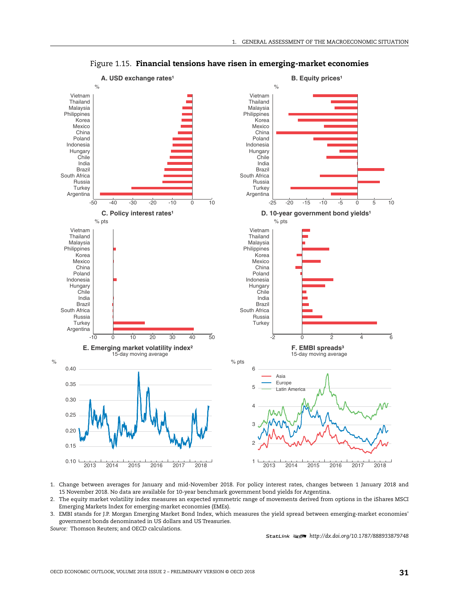

Figure 1.15. **Financial tensions have risen in emerging-market economies**

- 1. Change between averages for January and mid-November 2018. For policy interest rates, changes between 1 January 2018 and 15 November 2018. No data are available for 10-year benchmark government bond yields for Argentina.
- 2. The equity market volatility index measures an expected symmetric range of movements derived from options in the iShares MSCI Emerging Markets Index for emerging-market economies (EMEs).
- 3. EMBI stands for J.P. Morgan Emerging Market Bond Index, which measures the yield spread between emerging-market economies' government bonds denominated in US dollars and US Treasuries. *Source:* Thomson Reuters; and OECD calculations.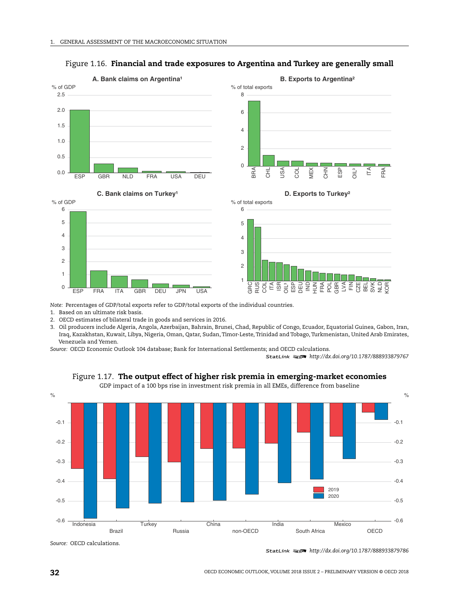

# Figure 1.16. **Financial and trade exposures to Argentina and Turkey are generally small**

*Note:* Percentages of GDP/total exports refer to GDP/total exports of the individual countries.

1. Based on an ultimate risk basis.

2. OECD estimates of bilateral trade in goods and services in 2016.

3. Oil producers include Algeria, Angola, Azerbaijan, Bahrain, Brunei, Chad, Republic of Congo, Ecuador, Equatorial Guinea, Gabon, Iran, Iraq, Kazakhstan, Kuwait, Libya, Nigeria, Oman, Qatar, Sudan, Timor-Leste, Trinidad and Tobago, Turkmenistan, United Arab Emirates, Venezuela and Yemen.

*Source:* OECD Economic Outlook 104 database; Bank for International Settlements; and OECD calculations.

1 2 *<http://dx.doi.org/10.1787/888933879767>*



Figure 1.17. **The output effect of higher risk premia in emerging-market economies**

GDP impact of a 100 bps rise in investment risk premia in all EMEs, difference from baseline

*Source:* OECD calculations.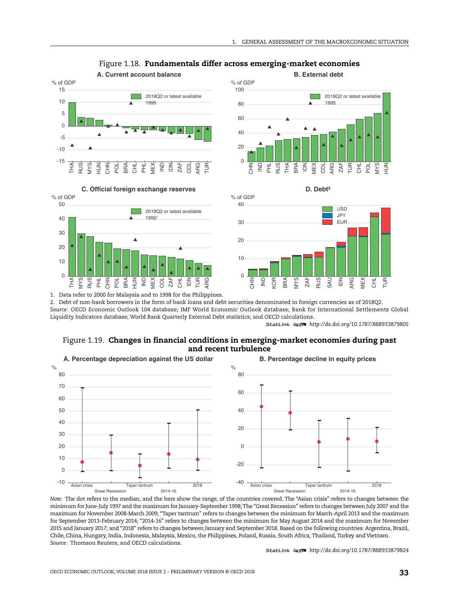



#### Figure 1.18. **Fundamentals differ across emerging-market economies**







1. Data refer to 2000 for Malaysia and to 1998 for the Philippines.

2. Debt of non-bank borrowers in the form of bank loans and debt securities denominated in foreign currencies as of 2018Q2. *Source:* OECD Economic Outlook 104 database; IMF World Economic Outlook database; Bank for International Settlements Global Liquidity Indicators database; World Bank Quarterly External Debt statistics; and OECD calculations.

1 2 *<http://dx.doi.org/10.1787/888933879805>*

#### Figure 1.19. **Changes in financial conditions in emerging-market economies during past and recent turbulence**



*Note:* The dot refers to the median, and the bars show the range, of the countries covered. The "Asian crisis" refers to changes between the minimum for June-July 1997 and the maximum for January-September 1998;The "Great Recession" refers to changes between July 2007 and the maximum for November 2008-March 2009; "Taper tantrum" refers to changes between the minimum for March-April 2013 and the maximum for September 2013-February 2014; "2014-16" refers to changes between the minimum for May August 2014 and the maximum for November 2015 and January 2017; and "2018" refers to changes between January and September 2018. Based on the following countries: Argentina, Brazil, Chile, China, Hungary, India, Indonesia, Malaysia, Mexico, the Philippines, Poland, Russia, South Africa, Thailand, Turkey and Vietnam. *Source:* Thomson Reuters; and OECD calculations.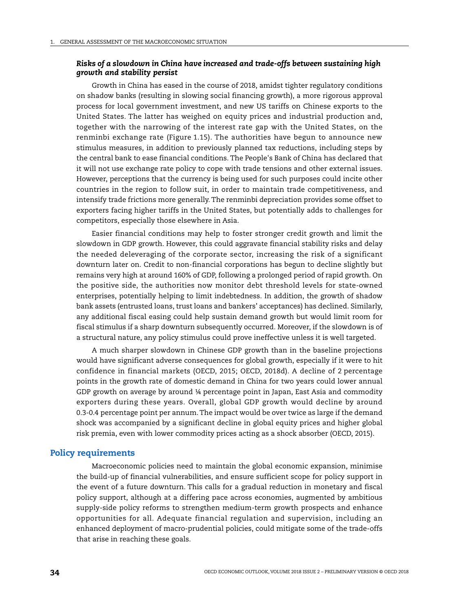# *Risks of a slowdown in China have increased and trade-offs between sustaining high growth and stability persist*

Growth in China has eased in the course of 2018, amidst tighter regulatory conditions on shadow banks (resulting in slowing social financing growth), a more rigorous approval process for local government investment, and new US tariffs on Chinese exports to the United States. The latter has weighed on equity prices and industrial production and, together with the narrowing of the interest rate gap with the United States, on the renminbi exchange rate (Figure 1.15). The authorities have begun to announce new stimulus measures, in addition to previously planned tax reductions, including steps by the central bank to ease financial conditions. The People's Bank of China has declared that it will not use exchange rate policy to cope with trade tensions and other external issues. However, perceptions that the currency is being used for such purposes could incite other countries in the region to follow suit, in order to maintain trade competitiveness, and intensify trade frictions more generally. The renminbi depreciation provides some offset to exporters facing higher tariffs in the United States, but potentially adds to challenges for competitors, especially those elsewhere in Asia.

Easier financial conditions may help to foster stronger credit growth and limit the slowdown in GDP growth. However, this could aggravate financial stability risks and delay the needed deleveraging of the corporate sector, increasing the risk of a significant downturn later on. Credit to non-financial corporations has begun to decline slightly but remains very high at around 160% of GDP, following a prolonged period of rapid growth. On the positive side, the authorities now monitor debt threshold levels for state-owned enterprises, potentially helping to limit indebtedness. In addition, the growth of shadow bank assets (entrusted loans, trust loans and bankers' acceptances) has declined. Similarly, any additional fiscal easing could help sustain demand growth but would limit room for fiscal stimulus if a sharp downturn subsequently occurred. Moreover, if the slowdown is of a structural nature, any policy stimulus could prove ineffective unless it is well targeted.

A much sharper slowdown in Chinese GDP growth than in the baseline projections would have significant adverse consequences for global growth, especially if it were to hit confidence in financial markets (OECD, 2015; OECD, 2018d). A decline of 2 percentage points in the growth rate of domestic demand in China for two years could lower annual GDP growth on average by around ¼ percentage point in Japan, East Asia and commodity exporters during these years. Overall, global GDP growth would decline by around 0.3-0.4 percentage point per annum. The impact would be over twice as large if the demand shock was accompanied by a significant decline in global equity prices and higher global risk premia, even with lower commodity prices acting as a shock absorber (OECD, 2015).

# **Policy requirements**

Macroeconomic policies need to maintain the global economic expansion, minimise the build-up of financial vulnerabilities, and ensure sufficient scope for policy support in the event of a future downturn. This calls for a gradual reduction in monetary and fiscal policy support, although at a differing pace across economies, augmented by ambitious supply-side policy reforms to strengthen medium-term growth prospects and enhance opportunities for all. Adequate financial regulation and supervision, including an enhanced deployment of macro-prudential policies, could mitigate some of the trade-offs that arise in reaching these goals.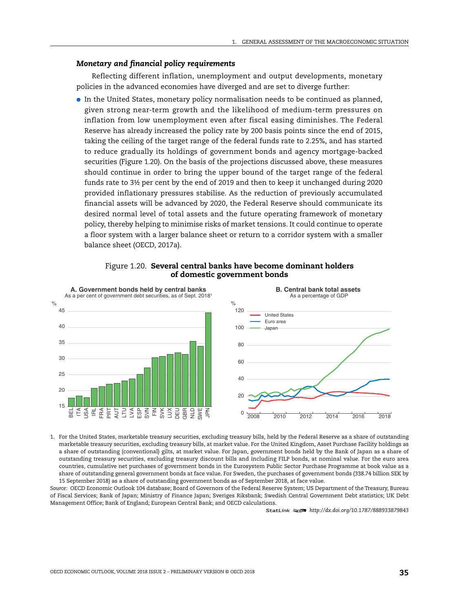#### *Monetary and financial policy requirements*

Reflecting different inflation, unemployment and output developments, monetary policies in the advanced economies have diverged and are set to diverge further:

● In the United States, monetary policy normalisation needs to be continued as planned, given strong near-term growth and the likelihood of medium-term pressures on inflation from low unemployment even after fiscal easing diminishes. The Federal Reserve has already increased the policy rate by 200 basis points since the end of 2015, taking the ceiling of the target range of the federal funds rate to 2.25%, and has started to reduce gradually its holdings of government bonds and agency mortgage-backed securities (Figure 1.20). On the basis of the projections discussed above, these measures should continue in order to bring the upper bound of the target range of the federal funds rate to 3½ per cent by the end of 2019 and then to keep it unchanged during 2020 provided inflationary pressures stabilise. As the reduction of previously accumulated financial assets will be advanced by 2020, the Federal Reserve should communicate its desired normal level of total assets and the future operating framework of monetary policy, thereby helping to minimise risks of market tensions. It could continue to operate a floor system with a larger balance sheet or return to a corridor system with a smaller balance sheet (OECD, 2017a).



#### Figure 1.20. **Several central banks have become dominant holders of domestic government bonds**

1. For the United States, marketable treasury securities, excluding treasury bills, held by the Federal Reserve as a share of outstanding marketable treasury securities, excluding treasury bills, at market value. For the United Kingdom, Asset Purchase Facility holdings as a share of outstanding (conventional) gilts, at market value. For Japan, government bonds held by the Bank of Japan as a share of outstanding treasury securities, excluding treasury discount bills and including FILP bonds, at nominal value. For the euro area countries, cumulative net purchases of government bonds in the Eurosystem Public Sector Purchase Programme at book value as a share of outstanding general government bonds at face value. For Sweden, the purchases of government bonds (338.74 billion SEK by 15 September 2018) as a share of outstanding government bonds as of September 2018, at face value.

*Source:* OECD Economic Outlook 104 database; Board of Governors of the Federal Reserve System; US Department of the Treasury, Bureau of Fiscal Services; Bank of Japan; Ministry of Finance Japan; Sveriges Riksbank; Swedish Central Government Debt statistics; UK Debt Management Office; Bank of England; European Central Bank; and OECD calculations.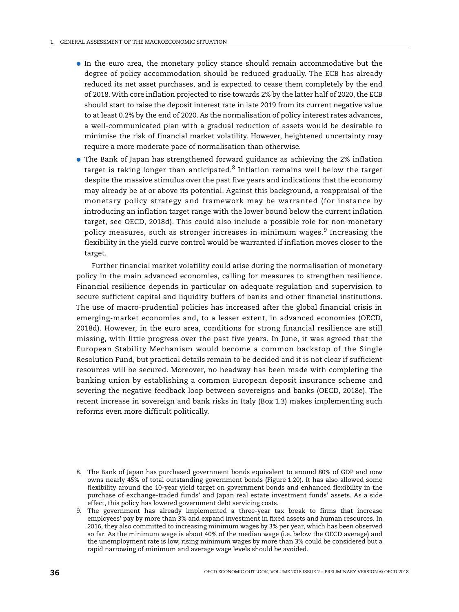- In the euro area, the monetary policy stance should remain accommodative but the degree of policy accommodation should be reduced gradually. The ECB has already reduced its net asset purchases, and is expected to cease them completely by the end of 2018.With core inflation projected to rise towards 2% by the latter half of 2020, the ECB should start to raise the deposit interest rate in late 2019 from its current negative value to at least 0.2% by the end of 2020. As the normalisation of policy interest rates advances, a well-communicated plan with a gradual reduction of assets would be desirable to minimise the risk of financial market volatility. However, heightened uncertainty may require a more moderate pace of normalisation than otherwise.
- The Bank of Japan has strengthened forward guidance as achieving the 2% inflation target is taking longer than anticipated. $8$  Inflation remains well below the target despite the massive stimulus over the past five years and indications that the economy may already be at or above its potential. Against this background, a reappraisal of the monetary policy strategy and framework may be warranted (for instance by introducing an inflation target range with the lower bound below the current inflation target, see OECD, 2018d). This could also include a possible role for non-monetary policy measures, such as stronger increases in minimum wages.<sup>9</sup> Increasing the flexibility in the yield curve control would be warranted if inflation moves closer to the target.

Further financial market volatility could arise during the normalisation of monetary policy in the main advanced economies, calling for measures to strengthen resilience. Financial resilience depends in particular on adequate regulation and supervision to secure sufficient capital and liquidity buffers of banks and other financial institutions. The use of macro-prudential policies has increased after the global financial crisis in emerging-market economies and, to a lesser extent, in advanced economies (OECD, 2018d). However, in the euro area, conditions for strong financial resilience are still missing, with little progress over the past five years. In June, it was agreed that the European Stability Mechanism would become a common backstop of the Single Resolution Fund, but practical details remain to be decided and it is not clear if sufficient resources will be secured. Moreover, no headway has been made with completing the banking union by establishing a common European deposit insurance scheme and severing the negative feedback loop between sovereigns and banks (OECD, 2018e). The recent increase in sovereign and bank risks in Italy (Box 1.3) makes implementing such reforms even more difficult politically.

<sup>8.</sup> The Bank of Japan has purchased government bonds equivalent to around 80% of GDP and now owns nearly 45% of total outstanding government bonds (Figure 1.20). It has also allowed some flexibility around the 10-year yield target on government bonds and enhanced flexibility in the purchase of exchange-traded funds' and Japan real estate investment funds' assets. As a side effect, this policy has lowered government debt servicing costs.

<sup>9.</sup> The government has already implemented a three-year tax break to firms that increase employees' pay by more than 3% and expand investment in fixed assets and human resources. In 2016, they also committed to increasing minimum wages by 3% per year, which has been observed so far. As the minimum wage is about 40% of the median wage (i.e. below the OECD average) and the unemployment rate is low, rising minimum wages by more than 3% could be considered but a rapid narrowing of minimum and average wage levels should be avoided.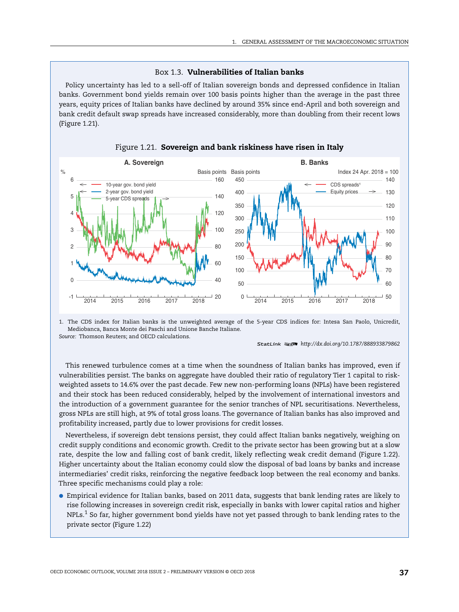#### Box 1.3. **Vulnerabilities of Italian banks**

Policy uncertainty has led to a sell-off of Italian sovereign bonds and depressed confidence in Italian banks. Government bond yields remain over 100 basis points higher than the average in the past three years, equity prices of Italian banks have declined by around 35% since end-April and both sovereign and bank credit default swap spreads have increased considerably, more than doubling from their recent lows (Figure 1.21).



Figure 1.21. **Sovereign and bank riskiness have risen in Italy**

1. The CDS index for Italian banks is the unweighted average of the 5-year CDS indices for: Intesa San Paolo, Unicredit, Mediobanca, Banca Monte dei Paschi and Unione Banche Italiane. *Source:* Thomson Reuters; and OECD calculations.

1 2 *<http://dx.doi.org/10.1787/888933879862>*

This renewed turbulence comes at a time when the soundness of Italian banks has improved, even if vulnerabilities persist. The banks on aggregate have doubled their ratio of regulatory Tier 1 capital to riskweighted assets to 14.6% over the past decade. Few new non-performing loans (NPLs) have been registered and their stock has been reduced considerably, helped by the involvement of international investors and the introduction of a government guarantee for the senior tranches of NPL securitisations. Nevertheless, gross NPLs are still high, at 9% of total gross loans. The governance of Italian banks has also improved and profitability increased, partly due to lower provisions for credit losses.

Nevertheless, if sovereign debt tensions persist, they could affect Italian banks negatively, weighing on credit supply conditions and economic growth. Credit to the private sector has been growing but at a slow rate, despite the low and falling cost of bank credit, likely reflecting weak credit demand (Figure 1.22). Higher uncertainty about the Italian economy could slow the disposal of bad loans by banks and increase intermediaries' credit risks, reinforcing the negative feedback loop between the real economy and banks. Three specific mechanisms could play a role:

● Empirical evidence for Italian banks, based on 2011 data, suggests that bank lending rates are likely to rise following increases in sovereign credit risk, especially in banks with lower capital ratios and higher NPLs.<sup>1</sup> So far, higher government bond yields have not yet passed through to bank lending rates to the private sector (Figure 1.22)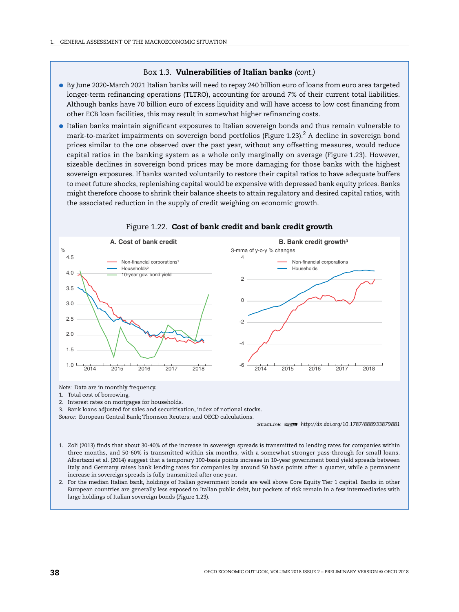#### Box 1.3. **Vulnerabilities of Italian banks** *(cont.)*

- By June 2020-March 2021 Italian banks will need to repay 240 billion euro of loans from euro area targeted longer-term refinancing operations (TLTRO), accounting for around 7% of their current total liabilities. Although banks have 70 billion euro of excess liquidity and will have access to low cost financing from other ECB loan facilities, this may result in somewhat higher refinancing costs.
- Italian banks maintain significant exposures to Italian sovereign bonds and thus remain vulnerable to mark-to-market impairments on sovereign bond portfolios (Figure 1.23).<sup>2</sup> A decline in sovereign bond prices similar to the one observed over the past year, without any offsetting measures, would reduce capital ratios in the banking system as a whole only marginally on average (Figure 1.23). However, sizeable declines in sovereign bond prices may be more damaging for those banks with the highest sovereign exposures. If banks wanted voluntarily to restore their capital ratios to have adequate buffers to meet future shocks, replenishing capital would be expensive with depressed bank equity prices. Banks might therefore choose to shrink their balance sheets to attain regulatory and desired capital ratios, with the associated reduction in the supply of credit weighing on economic growth.



#### Figure 1.22. **Cost of bank credit and bank credit growth**

*Note:* Data are in monthly frequency.

- 1. Total cost of borrowing.
- 2. Interest rates on mortgages for households.

3. Bank loans adjusted for sales and securitisation, index of notional stocks.

*Source:* European Central Bank; Thomson Reuters; and OECD calculations.

- 1. Zoli (2013) finds that about 30-40% of the increase in sovereign spreads is transmitted to lending rates for companies within three months, and 50-60% is transmitted within six months, with a somewhat stronger pass-through for small loans. Albertazzi et al. (2014) suggest that a temporary 100-basis points increase in 10-year government bond yield spreads between Italy and Germany raises bank lending rates for companies by around 50 basis points after a quarter, while a permanent increase in sovereign spreads is fully transmitted after one year.
- 2. For the median Italian bank, holdings of Italian government bonds are well above Core Equity Tier 1 capital. Banks in other European countries are generally less exposed to Italian public debt, but pockets of risk remain in a few intermediaries with large holdings of Italian sovereign bonds (Figure 1.23).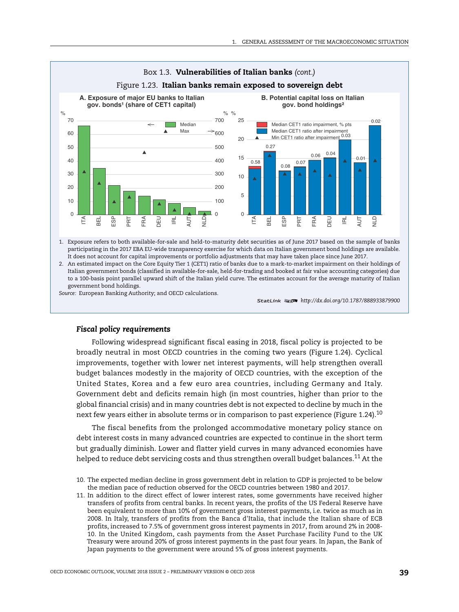

1. Exposure refers to both available-for-sale and held-to-maturity debt securities as of June 2017 based on the sample of banks participating in the 2017 EBA EU-wide transparency exercise for which data on Italian government bond holdings are available. It does not account for capital improvements or portfolio adjustments that may have taken place since June 2017.

2. An estimated impact on the Core Equity Tier 1 (CET1) ratio of banks due to a mark-to-market impairment on their holdings of Italian government bonds (classified in available-for-sale, held-for-trading and booked at fair value accounting categories) due to a 100-basis point parallel upward shift of the Italian yield curve. The estimates account for the average maturity of Italian government bond holdings.

*Source:* European Banking Authority; and OECD calculations.

# *Fiscal policy requirements*

Following widespread significant fiscal easing in 2018, fiscal policy is projected to be broadly neutral in most OECD countries in the coming two years (Figure 1.24). Cyclical improvements, together with lower net interest payments, will help strengthen overall budget balances modestly in the majority of OECD countries, with the exception of the United States, Korea and a few euro area countries, including Germany and Italy. Government debt and deficits remain high (in most countries, higher than prior to the global financial crisis) and in many countries debt is not expected to decline by much in the next few years either in absolute terms or in comparison to past experience (Figure 1.24).<sup>10</sup>

The fiscal benefits from the prolonged accommodative monetary policy stance on debt interest costs in many advanced countries are expected to continue in the short term but gradually diminish. Lower and flatter yield curves in many advanced economies have helped to reduce debt servicing costs and thus strengthen overall budget balances.<sup>11</sup> At the

11. In addition to the direct effect of lower interest rates, some governments have received higher transfers of profits from central banks. In recent years, the profits of the US Federal Reserve have been equivalent to more than 10% of government gross interest payments, i.e. twice as much as in 2008. In Italy, transfers of profits from the Banca d'Italia, that include the Italian share of ECB profits, increased to 7.5% of government gross interest payments in 2017, from around 2% in 2008- 10. In the United Kingdom, cash payments from the Asset Purchase Facility Fund to the UK Treasury were around 20% of gross interest payments in the past four years. In Japan, the Bank of Japan payments to the government were around 5% of gross interest payments.

<sup>1 2</sup> *<http://dx.doi.org/10.1787/888933879900>*

<sup>10.</sup> The expected median decline in gross government debt in relation to GDP is projected to be below the median pace of reduction observed for the OECD countries between 1980 and 2017.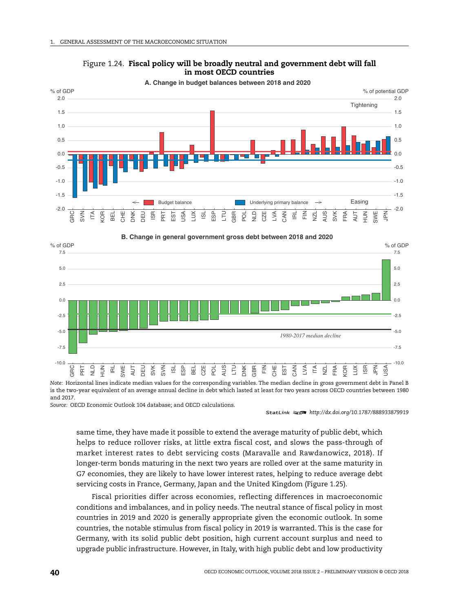





*Note:* Horizontal lines indicate median values for the corresponding variables. The median decline in gross government debt in Panel B is the two-year equivalent of an average annual decline in debt which lasted at least for two years across OECD countries between 1980 and 2017.

*Source:* OECD Economic Outlook 104 database; and OECD calculations.

1 2 *<http://dx.doi.org/10.1787/888933879919>*

same time, they have made it possible to extend the average maturity of public debt, which helps to reduce rollover risks, at little extra fiscal cost, and slows the pass-through of market interest rates to debt servicing costs (Maravalle and Rawdanowicz, 2018). If longer-term bonds maturing in the next two years are rolled over at the same maturity in G7 economies, they are likely to have lower interest rates, helping to reduce average debt servicing costs in France, Germany, Japan and the United Kingdom (Figure 1.25).

Fiscal priorities differ across economies, reflecting differences in macroeconomic conditions and imbalances, and in policy needs. The neutral stance of fiscal policy in most countries in 2019 and 2020 is generally appropriate given the economic outlook. In some countries, the notable stimulus from fiscal policy in 2019 is warranted. This is the case for Germany, with its solid public debt position, high current account surplus and need to upgrade public infrastructure. However, in Italy, with high public debt and low productivity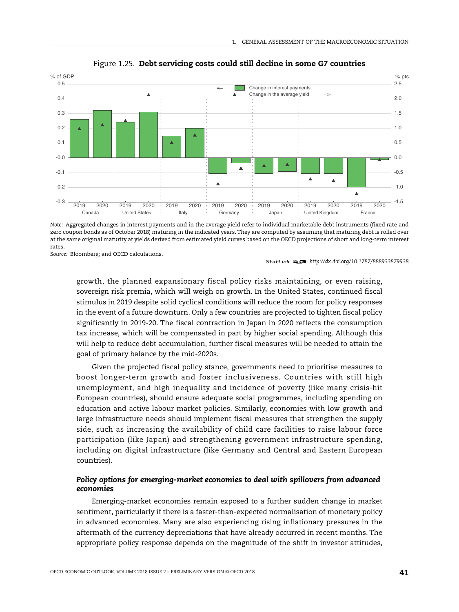

Figure 1.25. **Debt servicing costs could still decline in some G7 countries**

*Note:* Aggregated changes in interest payments and in the average yield refer to individual marketable debt instruments (fixed rate and zero coupon bonds as of October 2018) maturing in the indicated years. They are computed by assuming that maturing debt is rolled over at the same original maturity at yields derived from estimated yield curves based on the OECD projections of short and long-term interest rates.

*Source:* Bloomberg; and OECD calculations.

growth, the planned expansionary fiscal policy risks maintaining, or even raising, sovereign risk premia, which will weigh on growth. In the United States, continued fiscal stimulus in 2019 despite solid cyclical conditions will reduce the room for policy responses in the event of a future downturn. Only a few countries are projected to tighten fiscal policy significantly in 2019-20. The fiscal contraction in Japan in 2020 reflects the consumption tax increase, which will be compensated in part by higher social spending. Although this will help to reduce debt accumulation, further fiscal measures will be needed to attain the goal of primary balance by the mid-2020s.

Given the projected fiscal policy stance, governments need to prioritise measures to boost longer-term growth and foster inclusiveness. Countries with still high unemployment, and high inequality and incidence of poverty (like many crisis-hit European countries), should ensure adequate social programmes, including spending on education and active labour market policies. Similarly, economies with low growth and large infrastructure needs should implement fiscal measures that strengthen the supply side, such as increasing the availability of child care facilities to raise labour force participation (like Japan) and strengthening government infrastructure spending, including on digital infrastructure (like Germany and Central and Eastern European countries).

# *Policy options for emerging-market economies to deal with spillovers from advanced economies*

Emerging-market economies remain exposed to a further sudden change in market sentiment, particularly if there is a faster-than-expected normalisation of monetary policy in advanced economies. Many are also experiencing rising inflationary pressures in the aftermath of the currency depreciations that have already occurred in recent months. The appropriate policy response depends on the magnitude of the shift in investor attitudes,

<sup>1 2</sup> *<http://dx.doi.org/10.1787/888933879938>*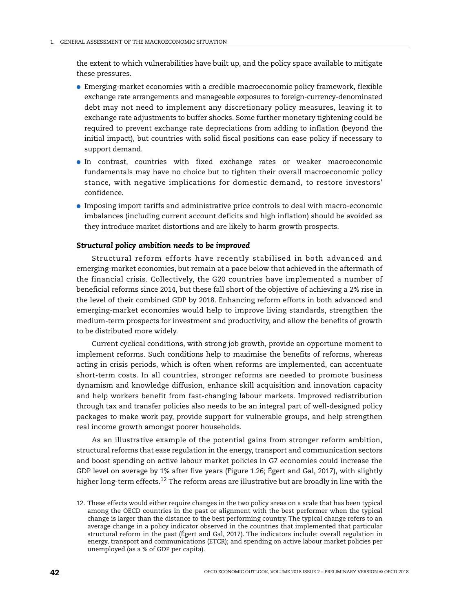the extent to which vulnerabilities have built up, and the policy space available to mitigate these pressures.

- Emerging-market economies with a credible macroeconomic policy framework, flexible exchange rate arrangements and manageable exposures to foreign-currency-denominated debt may not need to implement any discretionary policy measures, leaving it to exchange rate adjustments to buffer shocks. Some further monetary tightening could be required to prevent exchange rate depreciations from adding to inflation (beyond the initial impact), but countries with solid fiscal positions can ease policy if necessary to support demand.
- In contrast, countries with fixed exchange rates or weaker macroeconomic fundamentals may have no choice but to tighten their overall macroeconomic policy stance, with negative implications for domestic demand, to restore investors' confidence.
- Imposing import tariffs and administrative price controls to deal with macro-economic imbalances (including current account deficits and high inflation) should be avoided as they introduce market distortions and are likely to harm growth prospects.

#### *Structural policy ambition needs to be improved*

Structural reform efforts have recently stabilised in both advanced and emerging-market economies, but remain at a pace below that achieved in the aftermath of the financial crisis. Collectively, the G20 countries have implemented a number of beneficial reforms since 2014, but these fall short of the objective of achieving a 2% rise in the level of their combined GDP by 2018. Enhancing reform efforts in both advanced and emerging-market economies would help to improve living standards, strengthen the medium-term prospects for investment and productivity, and allow the benefits of growth to be distributed more widely.

Current cyclical conditions, with strong job growth, provide an opportune moment to implement reforms. Such conditions help to maximise the benefits of reforms, whereas acting in crisis periods, which is often when reforms are implemented, can accentuate short-term costs. In all countries, stronger reforms are needed to promote business dynamism and knowledge diffusion, enhance skill acquisition and innovation capacity and help workers benefit from fast-changing labour markets. Improved redistribution through tax and transfer policies also needs to be an integral part of well-designed policy packages to make work pay, provide support for vulnerable groups, and help strengthen real income growth amongst poorer households.

As an illustrative example of the potential gains from stronger reform ambition, structural reforms that ease regulation in the energy, transport and communication sectors and boost spending on active labour market policies in G7 economies could increase the GDP level on average by 1% after five years (Figure 1.26; Égert and Gal, 2017), with slightly higher long-term effects.<sup>12</sup> The reform areas are illustrative but are broadly in line with the

<sup>12.</sup> These effects would either require changes in the two policy areas on a scale that has been typical among the OECD countries in the past or alignment with the best performer when the typical change is larger than the distance to the best performing country. The typical change refers to an average change in a policy indicator observed in the countries that implemented that particular structural reform in the past (Égert and Gal, 2017). The indicators include: overall regulation in energy, transport and communications (ETCR); and spending on active labour market policies per unemployed (as a % of GDP per capita).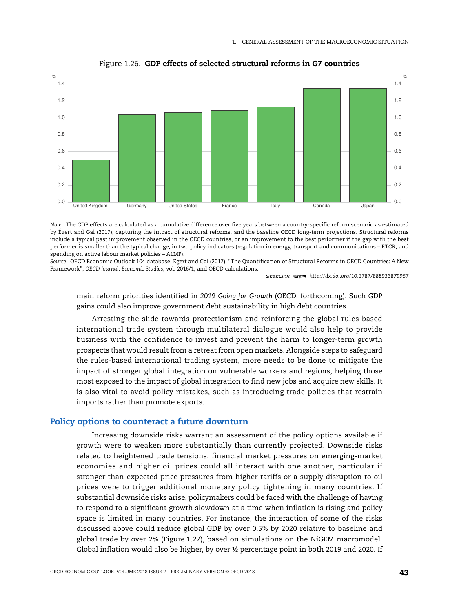



*Note:* The GDP effects are calculated as a cumulative difference over five years between a country-specific reform scenario as estimated by Égert and Gal (2017), capturing the impact of structural reforms, and the baseline OECD long-term projections. Structural reforms include a typical past improvement observed in the OECD countries, or an improvement to the best performer if the gap with the best performer is smaller than the typical change, in two policy indicators (regulation in energy, transport and communications – ETCR; and spending on active labour market policies – ALMP).

*Source:* OECD Economic Outlook 104 database; Égert and Gal (2017), "The Quantification of Structural Reforms in OECD Countries: A New Framework", *OECD Journal: Economic Studies*, vol. 2016/1; and OECD calculations.

1 2 *<http://dx.doi.org/10.1787/888933879957>*

main reform priorities identified in *2019 Going for Growth* (OECD, forthcoming). Such GDP gains could also improve government debt sustainability in high debt countries.

Arresting the slide towards protectionism and reinforcing the global rules-based international trade system through multilateral dialogue would also help to provide business with the confidence to invest and prevent the harm to longer-term growth prospects that would result from a retreat from open markets. Alongside steps to safeguard the rules-based international trading system, more needs to be done to mitigate the impact of stronger global integration on vulnerable workers and regions, helping those most exposed to the impact of global integration to find new jobs and acquire new skills. It is also vital to avoid policy mistakes, such as introducing trade policies that restrain imports rather than promote exports.

# **Policy options to counteract a future downturn**

Increasing downside risks warrant an assessment of the policy options available if growth were to weaken more substantially than currently projected. Downside risks related to heightened trade tensions, financial market pressures on emerging-market economies and higher oil prices could all interact with one another, particular if stronger-than-expected price pressures from higher tariffs or a supply disruption to oil prices were to trigger additional monetary policy tightening in many countries. If substantial downside risks arise, policymakers could be faced with the challenge of having to respond to a significant growth slowdown at a time when inflation is rising and policy space is limited in many countries. For instance, the interaction of some of the risks discussed above could reduce global GDP by over 0.5% by 2020 relative to baseline and global trade by over 2% (Figure 1.27), based on simulations on the NiGEM macromodel. Global inflation would also be higher, by over ½ percentage point in both 2019 and 2020. If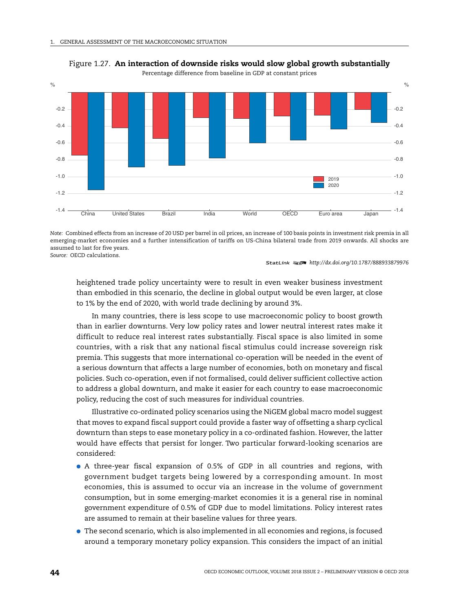

Figure 1.27. **An interaction of downside risks would slow global growth substantially**

Percentage difference from baseline in GDP at constant prices

*Note:* Combined effects from an increase of 20 USD per barrel in oil prices, an increase of 100 basis points in investment risk premia in all emerging-market economies and a further intensification of tariffs on US-China bilateral trade from 2019 onwards. All shocks are assumed to last for five years. *Source:* OECD calculations.

1 2 *<http://dx.doi.org/10.1787/888933879976>*

heightened trade policy uncertainty were to result in even weaker business investment than embodied in this scenario, the decline in global output would be even larger, at close to 1% by the end of 2020, with world trade declining by around 3%.

In many countries, there is less scope to use macroeconomic policy to boost growth than in earlier downturns. Very low policy rates and lower neutral interest rates make it difficult to reduce real interest rates substantially. Fiscal space is also limited in some countries, with a risk that any national fiscal stimulus could increase sovereign risk premia. This suggests that more international co-operation will be needed in the event of a serious downturn that affects a large number of economies, both on monetary and fiscal policies. Such co-operation, even if not formalised, could deliver sufficient collective action to address a global downturn, and make it easier for each country to ease macroeconomic policy, reducing the cost of such measures for individual countries.

Illustrative co-ordinated policy scenarios using the NiGEM global macro model suggest that moves to expand fiscal support could provide a faster way of offsetting a sharp cyclical downturn than steps to ease monetary policy in a co-ordinated fashion. However, the latter would have effects that persist for longer. Two particular forward-looking scenarios are considered:

- A three-year fiscal expansion of 0.5% of GDP in all countries and regions, with government budget targets being lowered by a corresponding amount. In most economies, this is assumed to occur via an increase in the volume of government consumption, but in some emerging-market economies it is a general rise in nominal government expenditure of 0.5% of GDP due to model limitations. Policy interest rates are assumed to remain at their baseline values for three years.
- The second scenario, which is also implemented in all economies and regions, is focused around a temporary monetary policy expansion. This considers the impact of an initial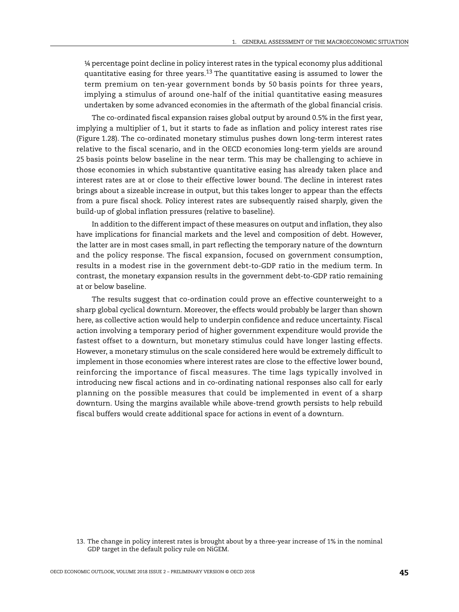¼ percentage point decline in policy interest rates in the typical economy plus additional quantitative easing for three years.<sup>13</sup> The quantitative easing is assumed to lower the term premium on ten-year government bonds by 50 basis points for three years, implying a stimulus of around one-half of the initial quantitative easing measures undertaken by some advanced economies in the aftermath of the global financial crisis.

The co-ordinated fiscal expansion raises global output by around 0.5% in the first year, implying a multiplier of 1, but it starts to fade as inflation and policy interest rates rise (Figure 1.28). The co-ordinated monetary stimulus pushes down long-term interest rates relative to the fiscal scenario, and in the OECD economies long-term yields are around 25 basis points below baseline in the near term. This may be challenging to achieve in those economies in which substantive quantitative easing has already taken place and interest rates are at or close to their effective lower bound. The decline in interest rates brings about a sizeable increase in output, but this takes longer to appear than the effects from a pure fiscal shock. Policy interest rates are subsequently raised sharply, given the build-up of global inflation pressures (relative to baseline).

In addition to the different impact of these measures on output and inflation, they also have implications for financial markets and the level and composition of debt. However, the latter are in most cases small, in part reflecting the temporary nature of the downturn and the policy response. The fiscal expansion, focused on government consumption, results in a modest rise in the government debt-to-GDP ratio in the medium term. In contrast, the monetary expansion results in the government debt-to-GDP ratio remaining at or below baseline.

The results suggest that co-ordination could prove an effective counterweight to a sharp global cyclical downturn. Moreover, the effects would probably be larger than shown here, as collective action would help to underpin confidence and reduce uncertainty. Fiscal action involving a temporary period of higher government expenditure would provide the fastest offset to a downturn, but monetary stimulus could have longer lasting effects. However, a monetary stimulus on the scale considered here would be extremely difficult to implement in those economies where interest rates are close to the effective lower bound, reinforcing the importance of fiscal measures. The time lags typically involved in introducing new fiscal actions and in co-ordinating national responses also call for early planning on the possible measures that could be implemented in event of a sharp downturn. Using the margins available while above-trend growth persists to help rebuild fiscal buffers would create additional space for actions in event of a downturn.

<sup>13.</sup> The change in policy interest rates is brought about by a three-year increase of 1% in the nominal GDP target in the default policy rule on NiGEM.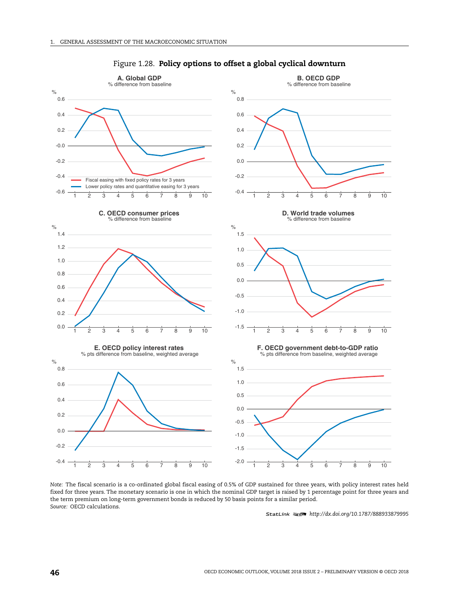

#### Figure 1.28. **Policy options to offset a global cyclical downturn**

*Note:* The fiscal scenario is a co-ordinated global fiscal easing of 0.5% of GDP sustained for three years, with policy interest rates held fixed for three years. The monetary scenario is one in which the nominal GDP target is raised by 1 percentage point for three years and the term premium on long-term government bonds is reduced by 50 basis points for a similar period. *Source:* OECD calculations.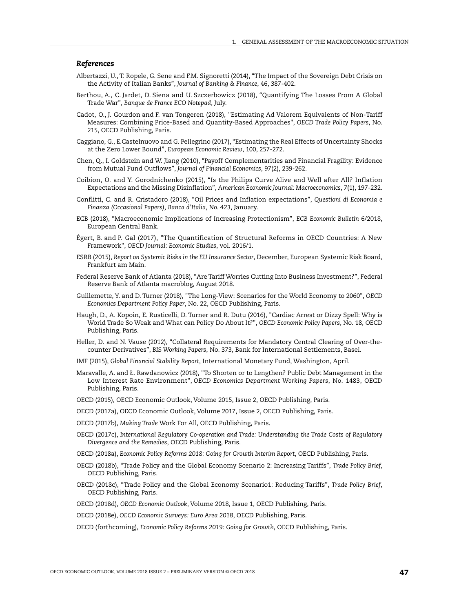#### *References*

- [Albertazzi, U., T. Ropele, G. Sene and F.M. Signoretti \(2014\), "The Impact of the Sovereign Debt Crisis on](https://doi.org/10.1016/j.jbankfin.2014.05.005) [the Activity of Italian Banks",](https://doi.org/10.1016/j.jbankfin.2014.05.005) *Journal of Banking & Finance*, 46, 387-402.
- [Berthou, A., C. Jardet, D. Siena and U. Szczerbowicz \(2018\), "Quantifying The Losses From A Global](https://blocnotesdeleco.banque-france.fr/en/blog-entry/quantifying-losses-global-trade-war) [Trade War",](https://blocnotesdeleco.banque-france.fr/en/blog-entry/quantifying-losses-global-trade-war) *Banque de France ECO Notepad*, July.
- [Cadot, O., J. Gourdon and F. van Tongeren \(2018\), "Estimating Ad Valorem Equivalents of Non-Tariff](https://doi.org/10.1787/f3cd5bdc-en) [Measures: Combining Price-Based and Quantity-Based Approaches",](https://doi.org/10.1787/f3cd5bdc-en) *OECD Trade Policy Papers*, No. 215, OECD Publishing, Paris.
- Caggiano, G., E.Castelnuovo and G. Pellegrino (2017), "Estimating the Real Effects of Uncertainty Shocks at the Zero Lower Bound", *European Economic Review*, 100, 257-272.
- [Chen, Q., I. Goldstein and W. Jiang \(2010\), "Payoff Complementarities and Financial Fragility: Evidence](http://finance.wharton.upenn.edu/~itayg/Files/fundrun-published.pdf) [from Mutual Fund Outflows",](http://finance.wharton.upenn.edu/~itayg/Files/fundrun-published.pdf) *Journal of Financial Economics*, 97(2), 239-262.
- [Coibion, O. and Y. Gorodnichenko \(2015\), "Is the Philips Curve Alive and Well after All? Inflation](https://pubs.aeaweb.org/doi/pdfplus/10.1257/mac.20130306) [Expectations and the Missing Disinflation",](https://pubs.aeaweb.org/doi/pdfplus/10.1257/mac.20130306) *American Economic Journal: Macroeconomics*, 7(1), 197-232.
- [Conflitti, C. and R. Cristadoro \(2018\), "Oil Prices and Inflation expectations",](http://www.bancaditalia.it/pubblicazioni/qef/2018-0423/QEF_423_18.pdf) *Questioni di Economia e Finanza (Occasional Papers), Banca d'Italia, No. 423*, January.
- [ECB \(2018\), "Macroeconomic Implications of Increasing Protectionism",](https://www.ecb.europa.eu/pub/economic-bulletin/focus/2018/html/ecb.ebbox201806_01.en.html) *ECB Economic Bulletin* 6/2018, European Central Bank.
- [Égert, B. and P. Gal \(2017\), "The Quantification of Structural Reforms in OECD Countries: A New](https://doi.org/10.1787/eco_studies-2016-5jg1lqspxtvk) [Framework",](https://doi.org/10.1787/eco_studies-2016-5jg1lqspxtvk) *OECD Journal: Economic Studies*, vol. 2016/1.
- ESRB (2015), *[Report on Systemic Risks in the EU Insurance Sector](https://www.esrb.europa.eu/pub/pdf/other/2015-12-16-esrb_report_systemic_risks_EU_insurance_sector.en.pdf)*, December, European Systemic Risk Board, Frankfurt am Main.
- [Federal Reserve Bank of Atlanta \(2018\), "Are Tariff Worries Cutting Into Business Investment?", Federal](http://macroblog.typepad.com/macroblog/2018/08/are-tariff-worries-cutting-into-business-investment.html) Reserve Bank of Atlanta macroblog, August 2018.
- [Guillemette, Y. and D. Turner \(2018\), "The Long-View: Scenarios for the World Economy to 2060",](https://doi.org/10.1787/b4f4e03e-en) *OECD Economics Department Policy Paper*, No. 22, OECD Publishing, Paris.
- [Haugh, D., A. Kopoin, E. Rusticelli, D. Turner and R. Dutu \(2016\), "Cardiac Arrest or Dizzy Spell: Why is](https://doi.org/10.1787/5jlr2h45q532-en) [World Trade So Weak and What can Policy Do About It?",](https://doi.org/10.1787/5jlr2h45q532-en) *OECD Economic Policy Papers*, No. 18, OECD Publishing, Paris.
- [Heller, D. and N. Vause \(2012\), "Collateral Requirements for Mandatory Central Clearing of Over-the](https://www.bis.org/publ/work373.pdf)[counter Derivatives",](https://www.bis.org/publ/work373.pdf) *BIS Working Papers*, No. 373, Bank for International Settlements, Basel.
- IMF (2015), *[Global Financial Stability Report](https://www.imf.org/en/Publications/GFSR/Issues/2016/12/31/Global-Financial-Stability-Report-April-2015-Navigating-Monetary-Policy-Challenges-and-42422)*, International Monetary Fund, Washington, April.
- [Maravalle, A. and Ł. Rawdanowicz \(2018\), "To Shorten or to Lengthen? Public Debt Management in the](https://doi.org/10.1787/192ef3ad-en) [Low Interest Rate Environment",](https://doi.org/10.1787/192ef3ad-en) *OECD Economics Department Working Papers*, No. 1483, OECD Publishing, Paris.
- [OECD \(2015\), OECD Economic Outlook, Volume 2015, Issue 2, OECD Publishing, Paris.](https://doi.org/10.1787/eco_outlook-v2015-2-en.)
- [OECD \(2017a\), OECD Economic Outlook, Volume 2017, Issue 2, OECD Publishing, Paris.](https://doi.org/10.1787/eco_outlook-v2017-2-en)
- OECD (2017b), *Making Trade* Work For All, OECD Publishing, Paris.
- OECD (2017c), *[International Regulatory Co-operation and Trade: Understanding the Trade Costs of Regulatory](http://dx.doi.org/10.1787/9789264275942-en) [Divergence and the Remedies](http://dx.doi.org/10.1787/9789264275942-en)*, OECD Publishing, Paris.
- OECD (2018a), *[Economic Policy Reforms 2018: Going for Growth Interim Report](https://doi.org/10.1787/growth-2018-en)*, OECD Publishing, Paris.
- OECD (2018b), "Trade Policy and the Global Economy Scenario 2: Increasing Tariffs", *Trade Policy Brief*, OECD Publishing, Paris.
- OECD (2018c), "Trade Policy and the Global Economy Scenario1: Reducing Tariffs", *Trade Policy Brief*, OECD Publishing, Paris.
- OECD (2018d), *[OECD Economic Outlook](http://dx.doi.org/10.1787/eco_outlook-v2017-2-3-en)*, Volume 2018, Issue 1, OECD Publishing, Paris.
- OECD (2018e), *[OECD Economic Surveys: Euro Area 2018](https://doi.org/10.1787/eco_surveys-euz-2018-en)*, OECD Publishing, Paris.
- OECD (forthcoming), *Economic Policy Reforms 2019: Going for Growth*, OECD Publishing, Paris.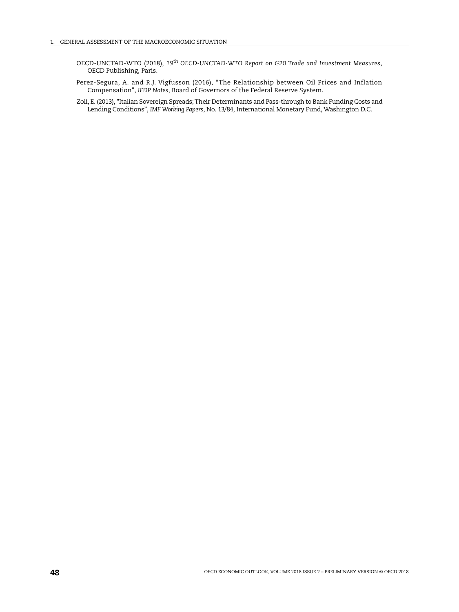- OECD-UNCTAD-WTO (2018), *19th OECD-UNCTAD-WTO Report on G20 Trade and Investment Measures*, OECD Publishing, Paris.
- [Perez-Segura, A. and R.J. Vigfusson \(2016\), "The Relationship between Oil Prices and Inflation](https://doi.org/10.17016/2573-2129.19) [Compensation",](https://doi.org/10.17016/2573-2129.19) *IFDP Notes*, Board of Governors of the Federal Reserve System.
- [Zoli, E. \(2013\), "Italian Sovereign Spreads;Their Determinants and Pass-through to Bank Funding Costs and](https://www.imf.org/external/pubs/ft/wp/2013/wp1384.pdf) [Lending Conditions",](https://www.imf.org/external/pubs/ft/wp/2013/wp1384.pdf) *IMF Working Papers*, No. 13/84, International Monetary Fund, Washington D.C.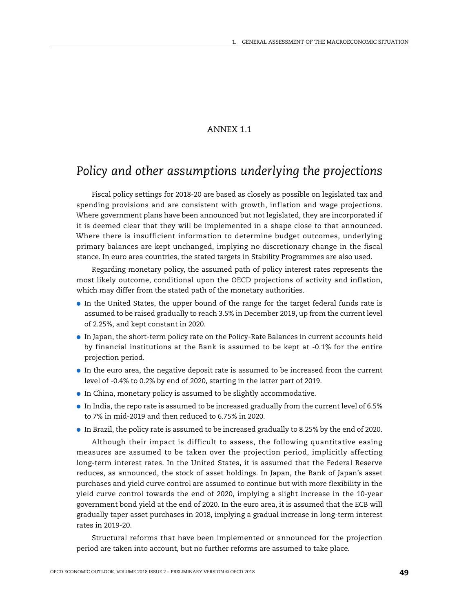# ANNEX 1.1

# *Policy and other assumptions underlying the projections*

Fiscal policy settings for 2018-20 are based as closely as possible on legislated tax and spending provisions and are consistent with growth, inflation and wage projections. Where government plans have been announced but not legislated, they are incorporated if it is deemed clear that they will be implemented in a shape close to that announced. Where there is insufficient information to determine budget outcomes, underlying primary balances are kept unchanged, implying no discretionary change in the fiscal stance. In euro area countries, the stated targets in Stability Programmes are also used.

Regarding monetary policy, the assumed path of policy interest rates represents the most likely outcome, conditional upon the OECD projections of activity and inflation, which may differ from the stated path of the monetary authorities.

- In the United States, the upper bound of the range for the target federal funds rate is assumed to be raised gradually to reach 3.5% in December 2019, up from the current level of 2.25%, and kept constant in 2020.
- In Japan, the short-term policy rate on the Policy-Rate Balances in current accounts held by financial institutions at the Bank is assumed to be kept at -0.1% for the entire projection period.
- In the euro area, the negative deposit rate is assumed to be increased from the current level of -0.4% to 0.2% by end of 2020, starting in the latter part of 2019.
- In China, monetary policy is assumed to be slightly accommodative.
- In India, the repo rate is assumed to be increased gradually from the current level of 6.5% to 7% in mid-2019 and then reduced to 6.75% in 2020.
- In Brazil, the policy rate is assumed to be increased gradually to 8.25% by the end of 2020.

Although their impact is difficult to assess, the following quantitative easing measures are assumed to be taken over the projection period, implicitly affecting long-term interest rates. In the United States, it is assumed that the Federal Reserve reduces, as announced, the stock of asset holdings. In Japan, the Bank of Japan's asset purchases and yield curve control are assumed to continue but with more flexibility in the yield curve control towards the end of 2020, implying a slight increase in the 10-year government bond yield at the end of 2020. In the euro area, it is assumed that the ECB will gradually taper asset purchases in 2018, implying a gradual increase in long-term interest rates in 2019-20.

Structural reforms that have been implemented or announced for the projection period are taken into account, but no further reforms are assumed to take place.